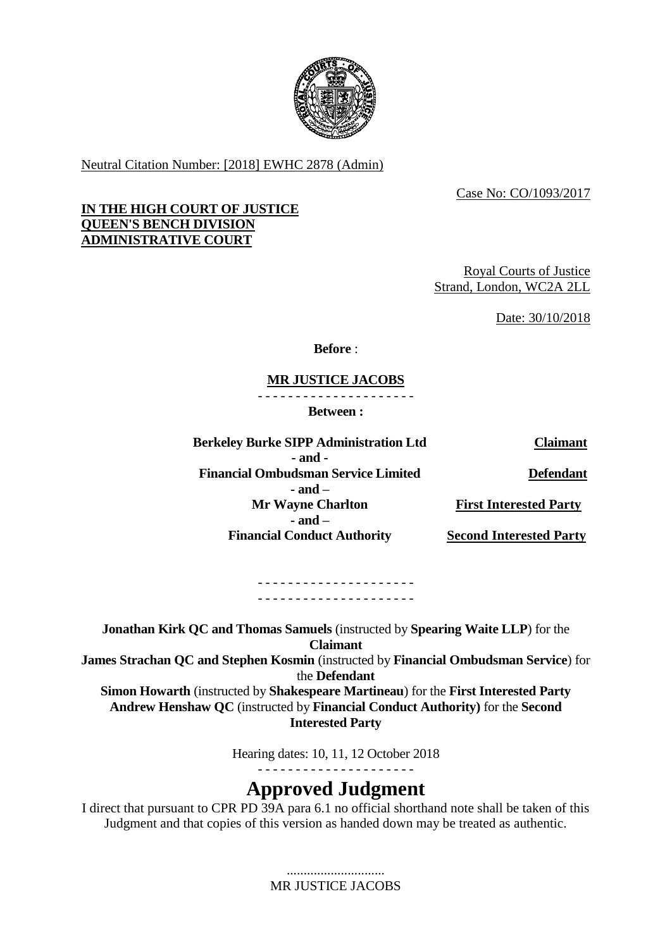

Neutral Citation Number: [2018] EWHC 2878 (Admin)

Case No: CO/1093/2017

## **IN THE HIGH COURT OF JUSTICE QUEEN'S BENCH DIVISION ADMINISTRATIVE COURT**

Royal Courts of Justice Strand, London, WC2A 2LL

Date: 30/10/2018

**Before** :

# **MR JUSTICE JACOBS**

- - - - - - - - - - - - - - - - - - - - -

**Between :**

**Berkeley Burke SIPP Administration Ltd Claimant - and - Financial Ombudsman Service Limited - and – Mr Wayne Charlton - and – Financial Conduct Authority Defendant First Interested Party Second Interested Party**

> - - - - - - - - - - - - - - - - - - - - - - - - - - - - - - - - - - - - - - - - - -

**Jonathan Kirk QC and Thomas Samuels** (instructed by **Spearing Waite LLP**) for the **Claimant**

**James Strachan QC and Stephen Kosmin** (instructed by **Financial Ombudsman Service**) for the **Defendant**

**Simon Howarth** (instructed by **Shakespeare Martineau**) for the **First Interested Party Andrew Henshaw QC** (instructed by **Financial Conduct Authority)** for the **Second Interested Party**

> Hearing dates: 10, 11, 12 October 2018 - - - - - - - - - - - - - - - - - - - - -

# **Approved Judgment**

I direct that pursuant to CPR PD 39A para 6.1 no official shorthand note shall be taken of this Judgment and that copies of this version as handed down may be treated as authentic.

> ............................. MR JUSTICE JACOBS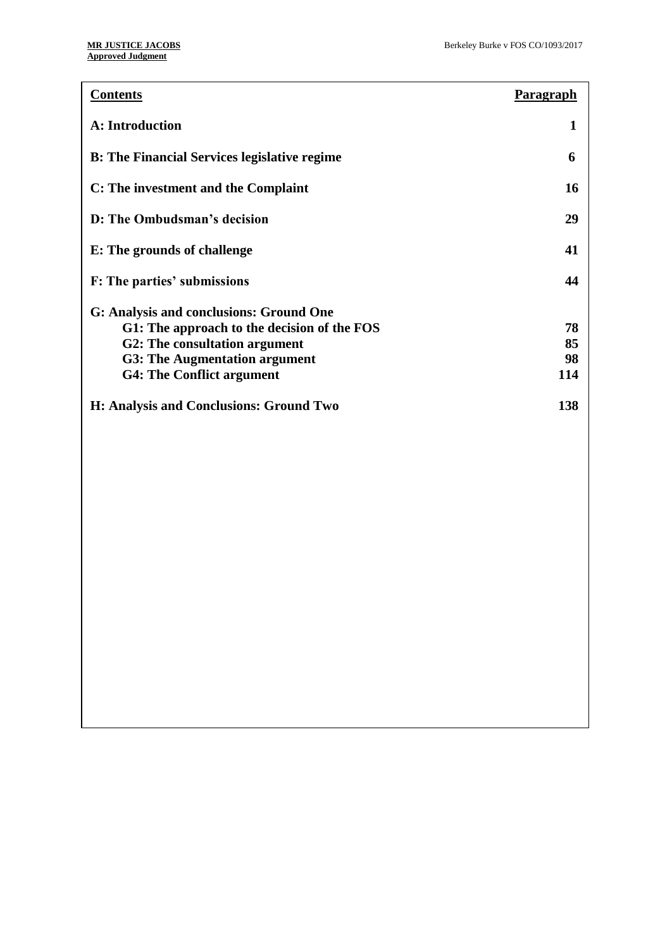| <b>Contents</b>                                     | Paragraph |
|-----------------------------------------------------|-----------|
| <b>A: Introduction</b>                              | 1         |
| <b>B:</b> The Financial Services legislative regime | 6         |
| C: The investment and the Complaint                 | 16        |
| D: The Ombudsman's decision                         | 29        |
| E: The grounds of challenge                         | 41        |
| F: The parties' submissions                         | 44        |
| G: Analysis and conclusions: Ground One             |           |
| G1: The approach to the decision of the FOS         | 78        |
| G2: The consultation argument                       | 85        |
| <b>G3: The Augmentation argument</b>                | 98        |
| <b>G4: The Conflict argument</b>                    | 114       |
| H: Analysis and Conclusions: Ground Two             | 138       |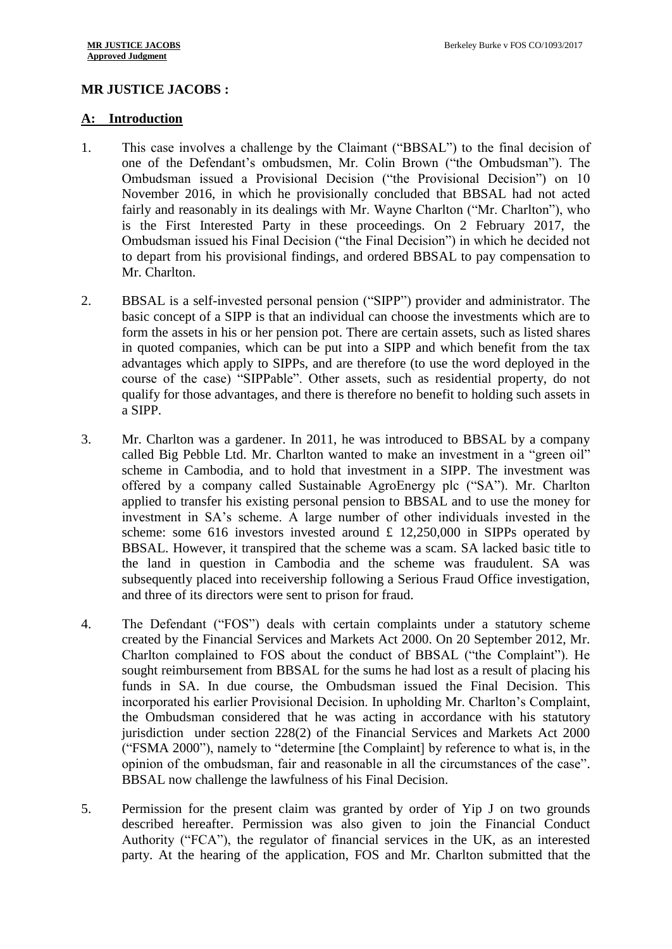## **MR JUSTICE JACOBS :**

#### **A: Introduction**

- 1. This case involves a challenge by the Claimant ("BBSAL") to the final decision of one of the Defendant's ombudsmen, Mr. Colin Brown ("the Ombudsman"). The Ombudsman issued a Provisional Decision ("the Provisional Decision") on 10 November 2016, in which he provisionally concluded that BBSAL had not acted fairly and reasonably in its dealings with Mr. Wayne Charlton ("Mr. Charlton"), who is the First Interested Party in these proceedings. On 2 February 2017, the Ombudsman issued his Final Decision ("the Final Decision") in which he decided not to depart from his provisional findings, and ordered BBSAL to pay compensation to Mr. Charlton.
- 2. BBSAL is a self-invested personal pension ("SIPP") provider and administrator. The basic concept of a SIPP is that an individual can choose the investments which are to form the assets in his or her pension pot. There are certain assets, such as listed shares in quoted companies, which can be put into a SIPP and which benefit from the tax advantages which apply to SIPPs, and are therefore (to use the word deployed in the course of the case) "SIPPable". Other assets, such as residential property, do not qualify for those advantages, and there is therefore no benefit to holding such assets in a SIPP.
- 3. Mr. Charlton was a gardener. In 2011, he was introduced to BBSAL by a company called Big Pebble Ltd. Mr. Charlton wanted to make an investment in a "green oil" scheme in Cambodia, and to hold that investment in a SIPP. The investment was offered by a company called Sustainable AgroEnergy plc ("SA"). Mr. Charlton applied to transfer his existing personal pension to BBSAL and to use the money for investment in SA's scheme. A large number of other individuals invested in the scheme: some 616 investors invested around  $\pounds$  12,250,000 in SIPPs operated by BBSAL. However, it transpired that the scheme was a scam. SA lacked basic title to the land in question in Cambodia and the scheme was fraudulent. SA was subsequently placed into receivership following a Serious Fraud Office investigation, and three of its directors were sent to prison for fraud.
- 4. The Defendant ("FOS") deals with certain complaints under a statutory scheme created by the Financial Services and Markets Act 2000. On 20 September 2012, Mr. Charlton complained to FOS about the conduct of BBSAL ("the Complaint"). He sought reimbursement from BBSAL for the sums he had lost as a result of placing his funds in SA. In due course, the Ombudsman issued the Final Decision. This incorporated his earlier Provisional Decision. In upholding Mr. Charlton's Complaint, the Ombudsman considered that he was acting in accordance with his statutory jurisdiction under section 228(2) of the Financial Services and Markets Act 2000 ("FSMA 2000"), namely to "determine [the Complaint] by reference to what is, in the opinion of the ombudsman, fair and reasonable in all the circumstances of the case". BBSAL now challenge the lawfulness of his Final Decision.
- 5. Permission for the present claim was granted by order of Yip J on two grounds described hereafter. Permission was also given to join the Financial Conduct Authority ("FCA"), the regulator of financial services in the UK, as an interested party. At the hearing of the application, FOS and Mr. Charlton submitted that the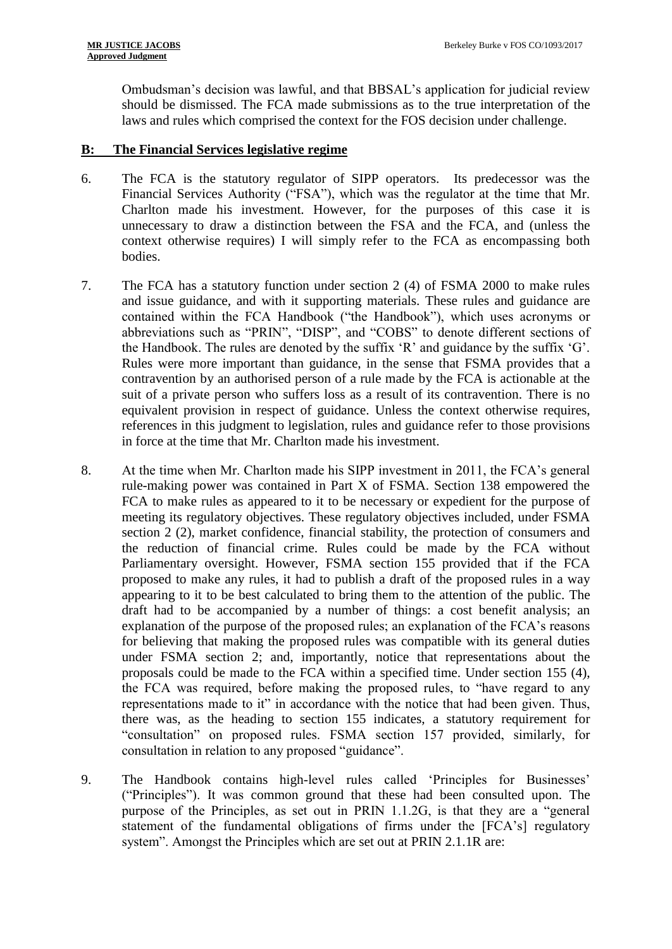Ombudsman's decision was lawful, and that BBSAL's application for judicial review should be dismissed. The FCA made submissions as to the true interpretation of the laws and rules which comprised the context for the FOS decision under challenge.

#### **B: The Financial Services legislative regime**

- 6. The FCA is the statutory regulator of SIPP operators. Its predecessor was the Financial Services Authority ("FSA"), which was the regulator at the time that Mr. Charlton made his investment. However, for the purposes of this case it is unnecessary to draw a distinction between the FSA and the FCA, and (unless the context otherwise requires) I will simply refer to the FCA as encompassing both bodies.
- 7. The FCA has a statutory function under section 2 (4) of FSMA 2000 to make rules and issue guidance, and with it supporting materials. These rules and guidance are contained within the FCA Handbook ("the Handbook"), which uses acronyms or abbreviations such as "PRIN", "DISP", and "COBS" to denote different sections of the Handbook. The rules are denoted by the suffix 'R' and guidance by the suffix 'G'. Rules were more important than guidance, in the sense that FSMA provides that a contravention by an authorised person of a rule made by the FCA is actionable at the suit of a private person who suffers loss as a result of its contravention. There is no equivalent provision in respect of guidance. Unless the context otherwise requires, references in this judgment to legislation, rules and guidance refer to those provisions in force at the time that Mr. Charlton made his investment.
- 8. At the time when Mr. Charlton made his SIPP investment in 2011, the FCA's general rule-making power was contained in Part X of FSMA. Section 138 empowered the FCA to make rules as appeared to it to be necessary or expedient for the purpose of meeting its regulatory objectives. These regulatory objectives included, under FSMA section 2 (2), market confidence, financial stability, the protection of consumers and the reduction of financial crime. Rules could be made by the FCA without Parliamentary oversight. However, FSMA section 155 provided that if the FCA proposed to make any rules, it had to publish a draft of the proposed rules in a way appearing to it to be best calculated to bring them to the attention of the public. The draft had to be accompanied by a number of things: a cost benefit analysis; an explanation of the purpose of the proposed rules; an explanation of the FCA's reasons for believing that making the proposed rules was compatible with its general duties under FSMA section 2; and, importantly, notice that representations about the proposals could be made to the FCA within a specified time. Under section 155 (4), the FCA was required, before making the proposed rules, to "have regard to any representations made to it" in accordance with the notice that had been given. Thus, there was, as the heading to section 155 indicates, a statutory requirement for "consultation" on proposed rules. FSMA section 157 provided, similarly, for consultation in relation to any proposed "guidance".
- 9. The Handbook contains high-level rules called 'Principles for Businesses' ("Principles"). It was common ground that these had been consulted upon. The purpose of the Principles, as set out in PRIN 1.1.2G, is that they are a "general statement of the fundamental obligations of firms under the [FCA's] regulatory system". Amongst the Principles which are set out at PRIN 2.1.1R are: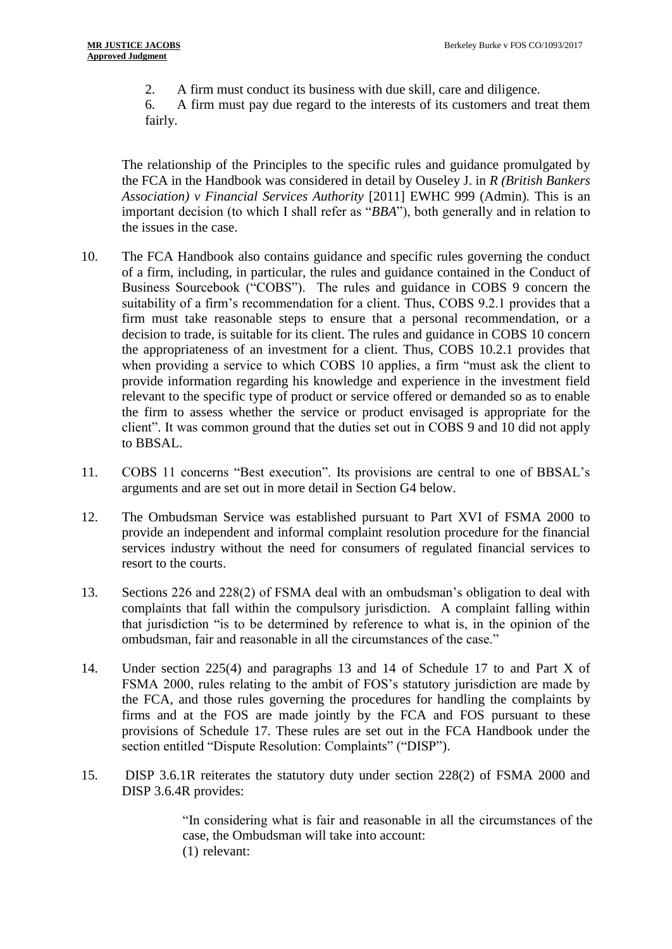2. A firm must conduct its business with due skill, care and diligence.

6. A firm must pay due regard to the interests of its customers and treat them fairly.

The relationship of the Principles to the specific rules and guidance promulgated by the FCA in the Handbook was considered in detail by Ouseley J. in *R (British Bankers Association) v Financial Services Authority* [2011] EWHC 999 (Admin)*.* This is an important decision (to which I shall refer as "*BBA*"), both generally and in relation to the issues in the case.

- 10. The FCA Handbook also contains guidance and specific rules governing the conduct of a firm, including, in particular, the rules and guidance contained in the Conduct of Business Sourcebook ("COBS"). The rules and guidance in COBS 9 concern the suitability of a firm's recommendation for a client. Thus, COBS 9.2.1 provides that a firm must take reasonable steps to ensure that a personal recommendation, or a decision to trade, is suitable for its client. The rules and guidance in COBS 10 concern the appropriateness of an investment for a client. Thus, COBS 10.2.1 provides that when providing a service to which COBS 10 applies, a firm "must ask the client to provide information regarding his knowledge and experience in the investment field relevant to the specific type of product or service offered or demanded so as to enable the firm to assess whether the service or product envisaged is appropriate for the client". It was common ground that the duties set out in COBS 9 and 10 did not apply to BBSAL.
- 11. COBS 11 concerns "Best execution". Its provisions are central to one of BBSAL's arguments and are set out in more detail in Section G4 below.
- 12. The Ombudsman Service was established pursuant to Part XVI of FSMA 2000 to provide an independent and informal complaint resolution procedure for the financial services industry without the need for consumers of regulated financial services to resort to the courts.
- 13. Sections 226 and 228(2) of FSMA deal with an ombudsman's obligation to deal with complaints that fall within the compulsory jurisdiction. A complaint falling within that jurisdiction "is to be determined by reference to what is, in the opinion of the ombudsman, fair and reasonable in all the circumstances of the case."
- 14. Under section 225(4) and paragraphs 13 and 14 of Schedule 17 to and Part X of FSMA 2000, rules relating to the ambit of FOS's statutory jurisdiction are made by the FCA, and those rules governing the procedures for handling the complaints by firms and at the FOS are made jointly by the FCA and FOS pursuant to these provisions of Schedule 17. These rules are set out in the FCA Handbook under the section entitled "Dispute Resolution: Complaints" ("DISP").
- 15. DISP 3.6.1R reiterates the statutory duty under section 228(2) of FSMA 2000 and DISP 3.6.4R provides:

"In considering what is fair and reasonable in all the circumstances of the case, the Ombudsman will take into account: (1) relevant: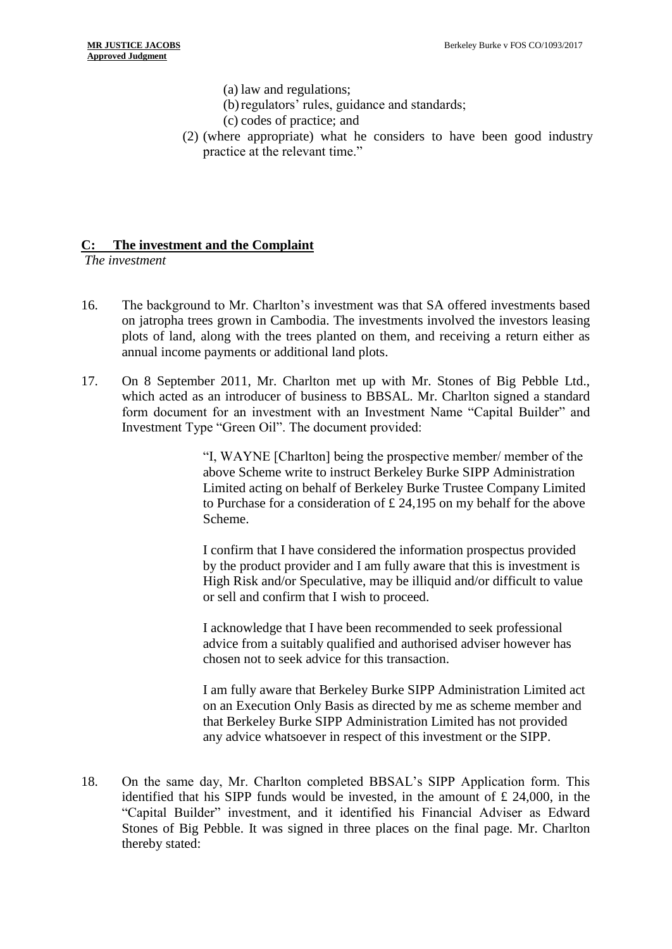- (a) law and regulations;
- (b) regulators' rules, guidance and standards;
- (c) codes of practice; and
- (2) (where appropriate) what he considers to have been good industry practice at the relevant time."

## **C: The investment and the Complaint**

*The investment*

- 16. The background to Mr. Charlton's investment was that SA offered investments based on jatropha trees grown in Cambodia. The investments involved the investors leasing plots of land, along with the trees planted on them, and receiving a return either as annual income payments or additional land plots.
- 17. On 8 September 2011, Mr. Charlton met up with Mr. Stones of Big Pebble Ltd., which acted as an introducer of business to BBSAL. Mr. Charlton signed a standard form document for an investment with an Investment Name "Capital Builder" and Investment Type "Green Oil". The document provided:

"I, WAYNE [Charlton] being the prospective member/ member of the above Scheme write to instruct Berkeley Burke SIPP Administration Limited acting on behalf of Berkeley Burke Trustee Company Limited to Purchase for a consideration of £ 24,195 on my behalf for the above Scheme.

I confirm that I have considered the information prospectus provided by the product provider and I am fully aware that this is investment is High Risk and/or Speculative, may be illiquid and/or difficult to value or sell and confirm that I wish to proceed.

I acknowledge that I have been recommended to seek professional advice from a suitably qualified and authorised adviser however has chosen not to seek advice for this transaction.

I am fully aware that Berkeley Burke SIPP Administration Limited act on an Execution Only Basis as directed by me as scheme member and that Berkeley Burke SIPP Administration Limited has not provided any advice whatsoever in respect of this investment or the SIPP.

18. On the same day, Mr. Charlton completed BBSAL's SIPP Application form. This identified that his SIPP funds would be invested, in the amount of  $\pounds$  24,000, in the "Capital Builder" investment, and it identified his Financial Adviser as Edward Stones of Big Pebble. It was signed in three places on the final page. Mr. Charlton thereby stated: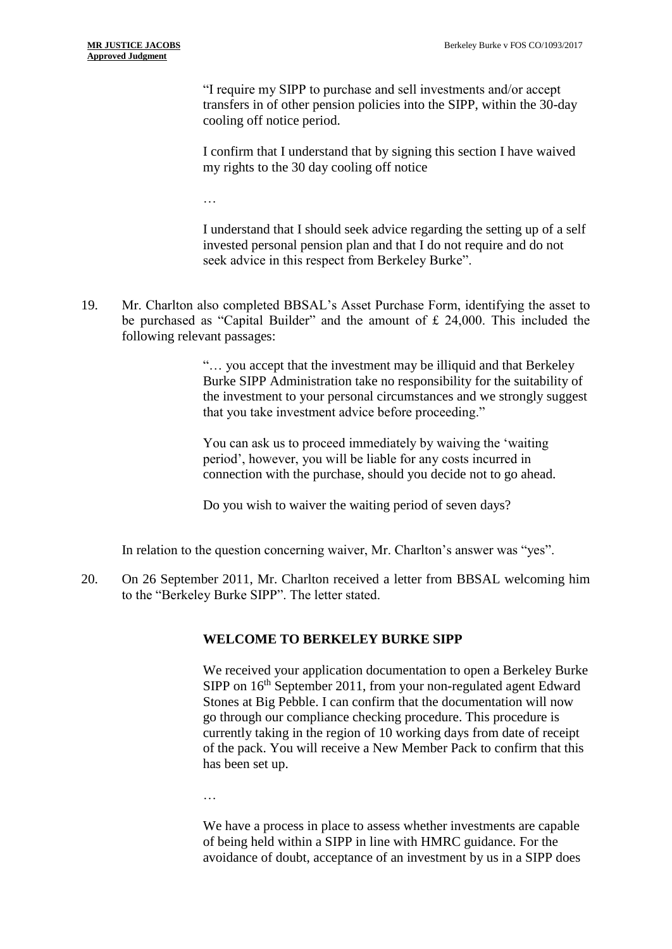"I require my SIPP to purchase and sell investments and/or accept transfers in of other pension policies into the SIPP, within the 30-day cooling off notice period.

I confirm that I understand that by signing this section I have waived my rights to the 30 day cooling off notice

…

I understand that I should seek advice regarding the setting up of a self invested personal pension plan and that I do not require and do not seek advice in this respect from Berkeley Burke".

19. Mr. Charlton also completed BBSAL's Asset Purchase Form, identifying the asset to be purchased as "Capital Builder" and the amount of £ 24,000. This included the following relevant passages:

> "… you accept that the investment may be illiquid and that Berkeley Burke SIPP Administration take no responsibility for the suitability of the investment to your personal circumstances and we strongly suggest that you take investment advice before proceeding."

You can ask us to proceed immediately by waiving the 'waiting period', however, you will be liable for any costs incurred in connection with the purchase, should you decide not to go ahead.

Do you wish to waiver the waiting period of seven days?

In relation to the question concerning waiver, Mr. Charlton's answer was "yes".

20. On 26 September 2011, Mr. Charlton received a letter from BBSAL welcoming him to the "Berkeley Burke SIPP". The letter stated.

## **WELCOME TO BERKELEY BURKE SIPP**

We received your application documentation to open a Berkeley Burke SIPP on 16<sup>th</sup> September 2011, from your non-regulated agent Edward Stones at Big Pebble. I can confirm that the documentation will now go through our compliance checking procedure. This procedure is currently taking in the region of 10 working days from date of receipt of the pack. You will receive a New Member Pack to confirm that this has been set up.

…

We have a process in place to assess whether investments are capable of being held within a SIPP in line with HMRC guidance. For the avoidance of doubt, acceptance of an investment by us in a SIPP does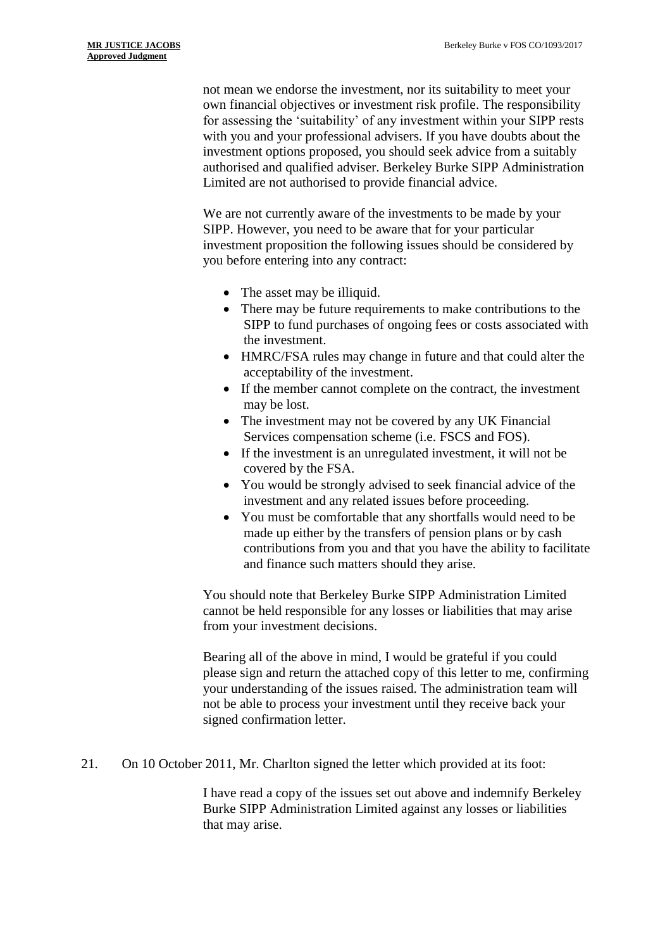not mean we endorse the investment, nor its suitability to meet your own financial objectives or investment risk profile. The responsibility for assessing the 'suitability' of any investment within your SIPP rests with you and your professional advisers. If you have doubts about the investment options proposed, you should seek advice from a suitably authorised and qualified adviser. Berkeley Burke SIPP Administration Limited are not authorised to provide financial advice.

We are not currently aware of the investments to be made by your SIPP. However, you need to be aware that for your particular investment proposition the following issues should be considered by you before entering into any contract:

- The asset may be illiquid.
- There may be future requirements to make contributions to the SIPP to fund purchases of ongoing fees or costs associated with the investment.
- HMRC/FSA rules may change in future and that could alter the acceptability of the investment.
- If the member cannot complete on the contract, the investment may be lost.
- The investment may not be covered by any UK Financial Services compensation scheme (i.e. FSCS and FOS).
- If the investment is an unregulated investment, it will not be covered by the FSA.
- You would be strongly advised to seek financial advice of the investment and any related issues before proceeding.
- You must be comfortable that any shortfalls would need to be made up either by the transfers of pension plans or by cash contributions from you and that you have the ability to facilitate and finance such matters should they arise.

You should note that Berkeley Burke SIPP Administration Limited cannot be held responsible for any losses or liabilities that may arise from your investment decisions.

Bearing all of the above in mind, I would be grateful if you could please sign and return the attached copy of this letter to me, confirming your understanding of the issues raised. The administration team will not be able to process your investment until they receive back your signed confirmation letter.

21. On 10 October 2011, Mr. Charlton signed the letter which provided at its foot:

I have read a copy of the issues set out above and indemnify Berkeley Burke SIPP Administration Limited against any losses or liabilities that may arise.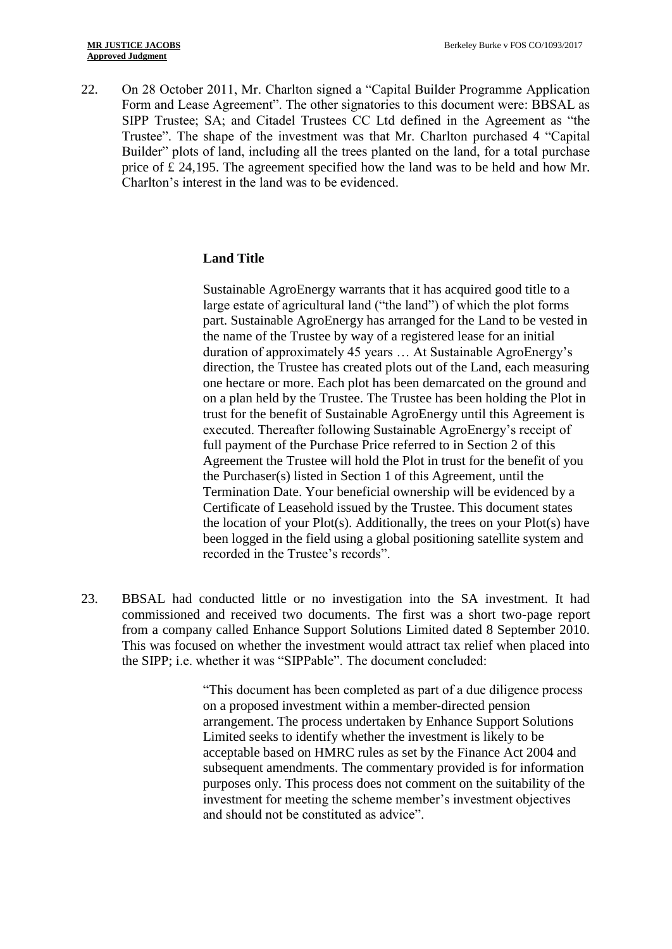22. On 28 October 2011, Mr. Charlton signed a "Capital Builder Programme Application Form and Lease Agreement". The other signatories to this document were: BBSAL as SIPP Trustee; SA; and Citadel Trustees CC Ltd defined in the Agreement as "the Trustee". The shape of the investment was that Mr. Charlton purchased 4 "Capital Builder" plots of land, including all the trees planted on the land, for a total purchase price of  $\hat{\mathcal{L}}$  24,195. The agreement specified how the land was to be held and how Mr. Charlton's interest in the land was to be evidenced.

## **Land Title**

Sustainable AgroEnergy warrants that it has acquired good title to a large estate of agricultural land ("the land") of which the plot forms part. Sustainable AgroEnergy has arranged for the Land to be vested in the name of the Trustee by way of a registered lease for an initial duration of approximately 45 years … At Sustainable AgroEnergy's direction, the Trustee has created plots out of the Land, each measuring one hectare or more. Each plot has been demarcated on the ground and on a plan held by the Trustee. The Trustee has been holding the Plot in trust for the benefit of Sustainable AgroEnergy until this Agreement is executed. Thereafter following Sustainable AgroEnergy's receipt of full payment of the Purchase Price referred to in Section 2 of this Agreement the Trustee will hold the Plot in trust for the benefit of you the Purchaser(s) listed in Section 1 of this Agreement, until the Termination Date. Your beneficial ownership will be evidenced by a Certificate of Leasehold issued by the Trustee. This document states the location of your Plot(s). Additionally, the trees on your Plot(s) have been logged in the field using a global positioning satellite system and recorded in the Trustee's records".

23. BBSAL had conducted little or no investigation into the SA investment. It had commissioned and received two documents. The first was a short two-page report from a company called Enhance Support Solutions Limited dated 8 September 2010. This was focused on whether the investment would attract tax relief when placed into the SIPP; i.e. whether it was "SIPPable". The document concluded:

> "This document has been completed as part of a due diligence process on a proposed investment within a member-directed pension arrangement. The process undertaken by Enhance Support Solutions Limited seeks to identify whether the investment is likely to be acceptable based on HMRC rules as set by the Finance Act 2004 and subsequent amendments. The commentary provided is for information purposes only. This process does not comment on the suitability of the investment for meeting the scheme member's investment objectives and should not be constituted as advice".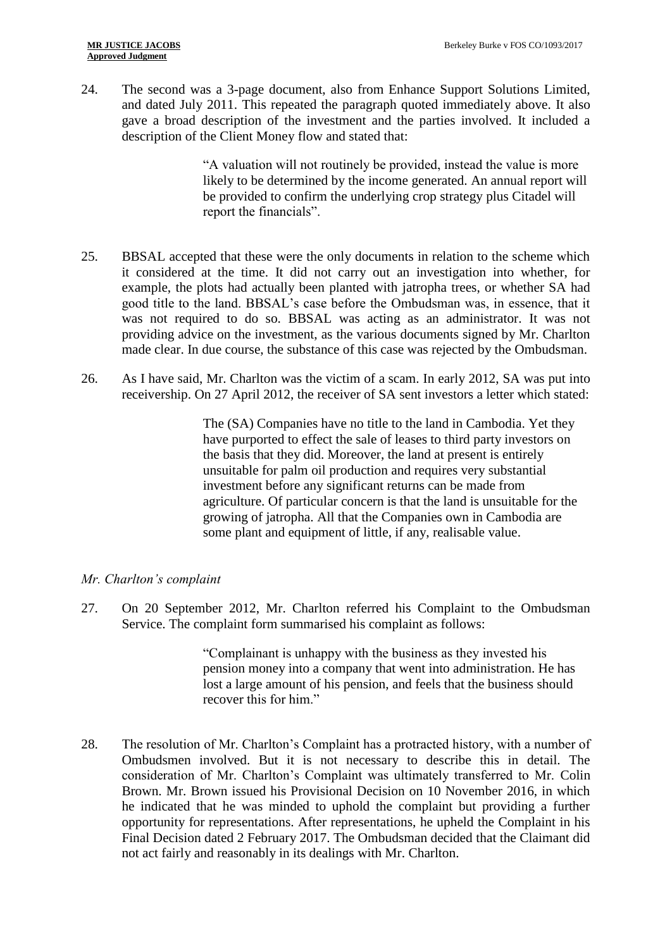24. The second was a 3-page document, also from Enhance Support Solutions Limited, and dated July 2011. This repeated the paragraph quoted immediately above. It also gave a broad description of the investment and the parties involved. It included a description of the Client Money flow and stated that:

> "A valuation will not routinely be provided, instead the value is more likely to be determined by the income generated. An annual report will be provided to confirm the underlying crop strategy plus Citadel will report the financials".

- 25. BBSAL accepted that these were the only documents in relation to the scheme which it considered at the time. It did not carry out an investigation into whether, for example, the plots had actually been planted with jatropha trees, or whether SA had good title to the land. BBSAL's case before the Ombudsman was, in essence, that it was not required to do so. BBSAL was acting as an administrator. It was not providing advice on the investment, as the various documents signed by Mr. Charlton made clear. In due course, the substance of this case was rejected by the Ombudsman.
- 26. As I have said, Mr. Charlton was the victim of a scam. In early 2012, SA was put into receivership. On 27 April 2012, the receiver of SA sent investors a letter which stated:

The (SA) Companies have no title to the land in Cambodia. Yet they have purported to effect the sale of leases to third party investors on the basis that they did. Moreover, the land at present is entirely unsuitable for palm oil production and requires very substantial investment before any significant returns can be made from agriculture. Of particular concern is that the land is unsuitable for the growing of jatropha. All that the Companies own in Cambodia are some plant and equipment of little, if any, realisable value.

# *Mr. Charlton's complaint*

27. On 20 September 2012, Mr. Charlton referred his Complaint to the Ombudsman Service. The complaint form summarised his complaint as follows:

> "Complainant is unhappy with the business as they invested his pension money into a company that went into administration. He has lost a large amount of his pension, and feels that the business should recover this for him."

28. The resolution of Mr. Charlton's Complaint has a protracted history, with a number of Ombudsmen involved. But it is not necessary to describe this in detail. The consideration of Mr. Charlton's Complaint was ultimately transferred to Mr. Colin Brown. Mr. Brown issued his Provisional Decision on 10 November 2016, in which he indicated that he was minded to uphold the complaint but providing a further opportunity for representations. After representations, he upheld the Complaint in his Final Decision dated 2 February 2017. The Ombudsman decided that the Claimant did not act fairly and reasonably in its dealings with Mr. Charlton.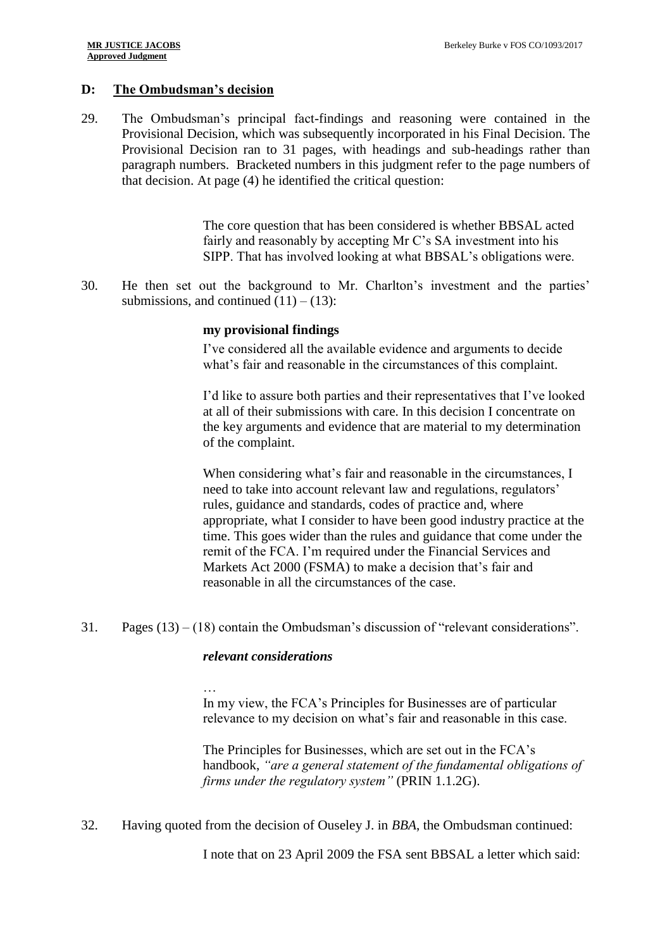## **D: The Ombudsman's decision**

29. The Ombudsman's principal fact-findings and reasoning were contained in the Provisional Decision, which was subsequently incorporated in his Final Decision. The Provisional Decision ran to 31 pages, with headings and sub-headings rather than paragraph numbers. Bracketed numbers in this judgment refer to the page numbers of that decision. At page (4) he identified the critical question:

> The core question that has been considered is whether BBSAL acted fairly and reasonably by accepting Mr C's SA investment into his SIPP. That has involved looking at what BBSAL's obligations were.

30. He then set out the background to Mr. Charlton's investment and the parties' submissions, and continued  $(11) - (13)$ :

## **my provisional findings**

I've considered all the available evidence and arguments to decide what's fair and reasonable in the circumstances of this complaint.

I'd like to assure both parties and their representatives that I've looked at all of their submissions with care. In this decision I concentrate on the key arguments and evidence that are material to my determination of the complaint.

When considering what's fair and reasonable in the circumstances, I need to take into account relevant law and regulations, regulators' rules, guidance and standards, codes of practice and, where appropriate, what I consider to have been good industry practice at the time. This goes wider than the rules and guidance that come under the remit of the FCA. I'm required under the Financial Services and Markets Act 2000 (FSMA) to make a decision that's fair and reasonable in all the circumstances of the case.

31. Pages (13) – (18) contain the Ombudsman's discussion of "relevant considerations".

## *relevant considerations*

… In my view, the FCA's Principles for Businesses are of particular relevance to my decision on what's fair and reasonable in this case.

The Principles for Businesses, which are set out in the FCA's handbook, *"are a general statement of the fundamental obligations of firms under the regulatory system"* (PRIN 1.1.2G).

32. Having quoted from the decision of Ouseley J. in *BBA*, the Ombudsman continued:

I note that on 23 April 2009 the FSA sent BBSAL a letter which said: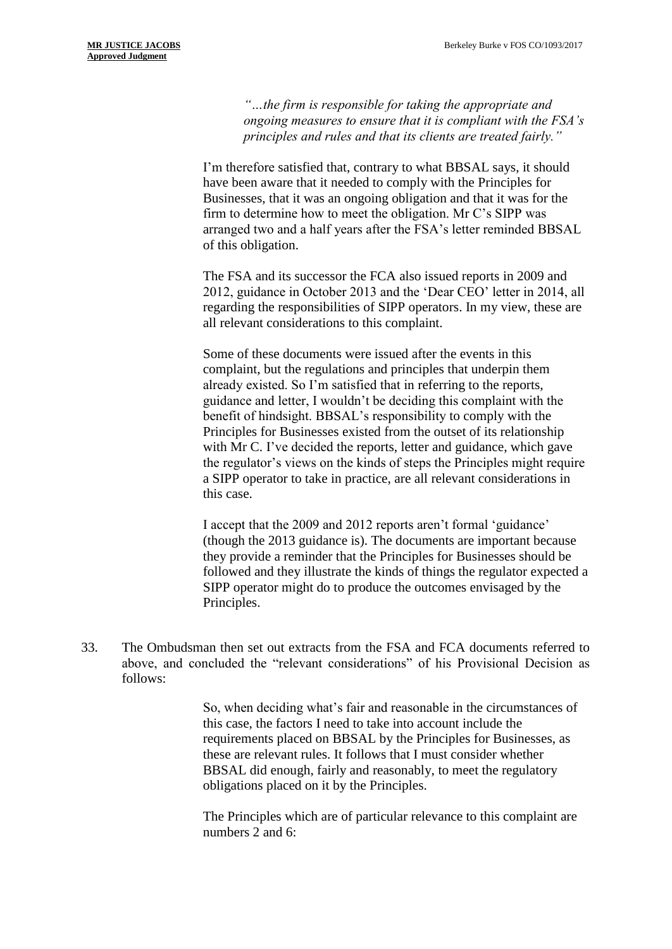*"…the firm is responsible for taking the appropriate and ongoing measures to ensure that it is compliant with the FSA's principles and rules and that its clients are treated fairly."*

I'm therefore satisfied that, contrary to what BBSAL says, it should have been aware that it needed to comply with the Principles for Businesses, that it was an ongoing obligation and that it was for the firm to determine how to meet the obligation. Mr C's SIPP was arranged two and a half years after the FSA's letter reminded BBSAL of this obligation.

The FSA and its successor the FCA also issued reports in 2009 and 2012, guidance in October 2013 and the 'Dear CEO' letter in 2014, all regarding the responsibilities of SIPP operators. In my view, these are all relevant considerations to this complaint.

Some of these documents were issued after the events in this complaint, but the regulations and principles that underpin them already existed. So I'm satisfied that in referring to the reports, guidance and letter, I wouldn't be deciding this complaint with the benefit of hindsight. BBSAL's responsibility to comply with the Principles for Businesses existed from the outset of its relationship with Mr C. I've decided the reports, letter and guidance, which gave the regulator's views on the kinds of steps the Principles might require a SIPP operator to take in practice, are all relevant considerations in this case.

I accept that the 2009 and 2012 reports aren't formal 'guidance' (though the 2013 guidance is). The documents are important because they provide a reminder that the Principles for Businesses should be followed and they illustrate the kinds of things the regulator expected a SIPP operator might do to produce the outcomes envisaged by the Principles.

33. The Ombudsman then set out extracts from the FSA and FCA documents referred to above, and concluded the "relevant considerations" of his Provisional Decision as follows:

> So, when deciding what's fair and reasonable in the circumstances of this case, the factors I need to take into account include the requirements placed on BBSAL by the Principles for Businesses, as these are relevant rules. It follows that I must consider whether BBSAL did enough, fairly and reasonably, to meet the regulatory obligations placed on it by the Principles.

> The Principles which are of particular relevance to this complaint are numbers 2 and 6: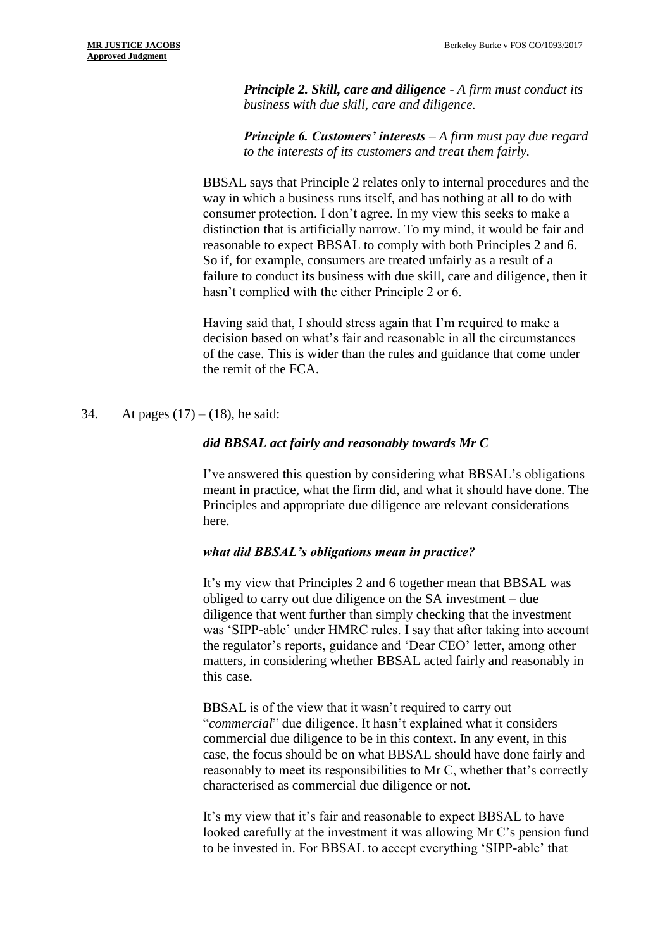*Principle 2. Skill, care and diligence - A firm must conduct its business with due skill, care and diligence.*

*Principle 6. Customers' interests – A firm must pay due regard to the interests of its customers and treat them fairly.*

BBSAL says that Principle 2 relates only to internal procedures and the way in which a business runs itself, and has nothing at all to do with consumer protection. I don't agree. In my view this seeks to make a distinction that is artificially narrow. To my mind, it would be fair and reasonable to expect BBSAL to comply with both Principles 2 and 6. So if, for example, consumers are treated unfairly as a result of a failure to conduct its business with due skill, care and diligence, then it hasn't complied with the either Principle 2 or 6.

Having said that, I should stress again that I'm required to make a decision based on what's fair and reasonable in all the circumstances of the case. This is wider than the rules and guidance that come under the remit of the FCA.

## 34. At pages  $(17) - (18)$ , he said:

## *did BBSAL act fairly and reasonably towards Mr C*

I've answered this question by considering what BBSAL's obligations meant in practice, what the firm did, and what it should have done. The Principles and appropriate due diligence are relevant considerations here.

## *what did BBSAL's obligations mean in practice?*

It's my view that Principles 2 and 6 together mean that BBSAL was obliged to carry out due diligence on the SA investment – due diligence that went further than simply checking that the investment was 'SIPP-able' under HMRC rules. I say that after taking into account the regulator's reports, guidance and 'Dear CEO' letter, among other matters, in considering whether BBSAL acted fairly and reasonably in this case.

BBSAL is of the view that it wasn't required to carry out "*commercial*" due diligence. It hasn't explained what it considers commercial due diligence to be in this context. In any event, in this case, the focus should be on what BBSAL should have done fairly and reasonably to meet its responsibilities to Mr C, whether that's correctly characterised as commercial due diligence or not.

It's my view that it's fair and reasonable to expect BBSAL to have looked carefully at the investment it was allowing Mr C's pension fund to be invested in. For BBSAL to accept everything 'SIPP-able' that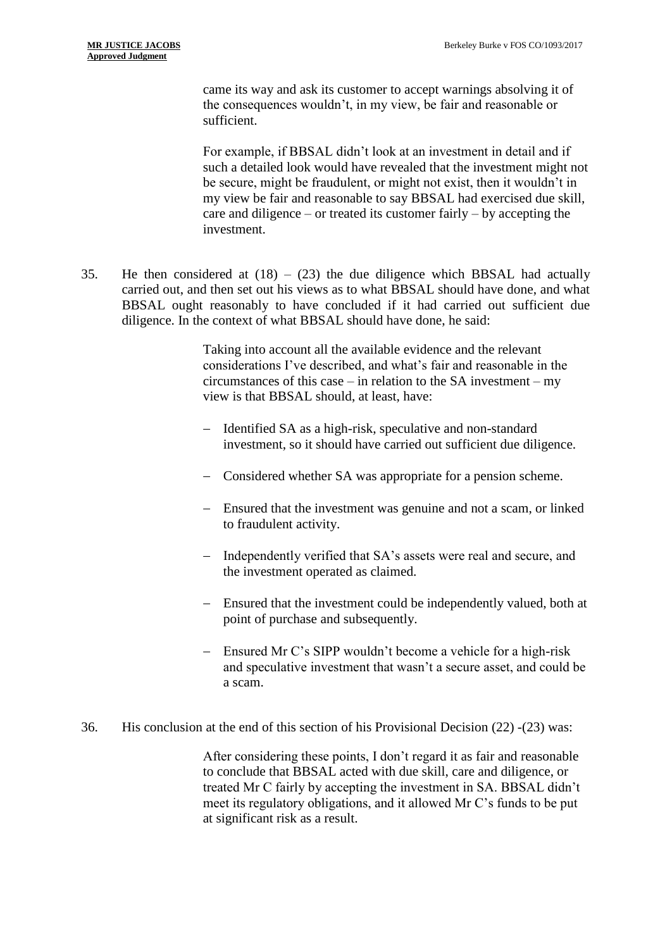came its way and ask its customer to accept warnings absolving it of the consequences wouldn't, in my view, be fair and reasonable or sufficient.

For example, if BBSAL didn't look at an investment in detail and if such a detailed look would have revealed that the investment might not be secure, might be fraudulent, or might not exist, then it wouldn't in my view be fair and reasonable to say BBSAL had exercised due skill, care and diligence – or treated its customer fairly – by accepting the investment.

35. He then considered at  $(18) - (23)$  the due diligence which BBSAL had actually carried out, and then set out his views as to what BBSAL should have done, and what BBSAL ought reasonably to have concluded if it had carried out sufficient due diligence. In the context of what BBSAL should have done, he said:

> Taking into account all the available evidence and the relevant considerations I've described, and what's fair and reasonable in the circumstances of this case – in relation to the SA investment – my view is that BBSAL should, at least, have:

- Identified SA as a high-risk, speculative and non-standard investment, so it should have carried out sufficient due diligence.
- Considered whether SA was appropriate for a pension scheme.
- Ensured that the investment was genuine and not a scam, or linked to fraudulent activity.
- Independently verified that SA's assets were real and secure, and the investment operated as claimed.
- Ensured that the investment could be independently valued, both at point of purchase and subsequently.
- Ensured Mr C's SIPP wouldn't become a vehicle for a high-risk and speculative investment that wasn't a secure asset, and could be a scam.
- 36. His conclusion at the end of this section of his Provisional Decision (22) -(23) was:

After considering these points, I don't regard it as fair and reasonable to conclude that BBSAL acted with due skill, care and diligence, or treated Mr C fairly by accepting the investment in SA. BBSAL didn't meet its regulatory obligations, and it allowed Mr C's funds to be put at significant risk as a result.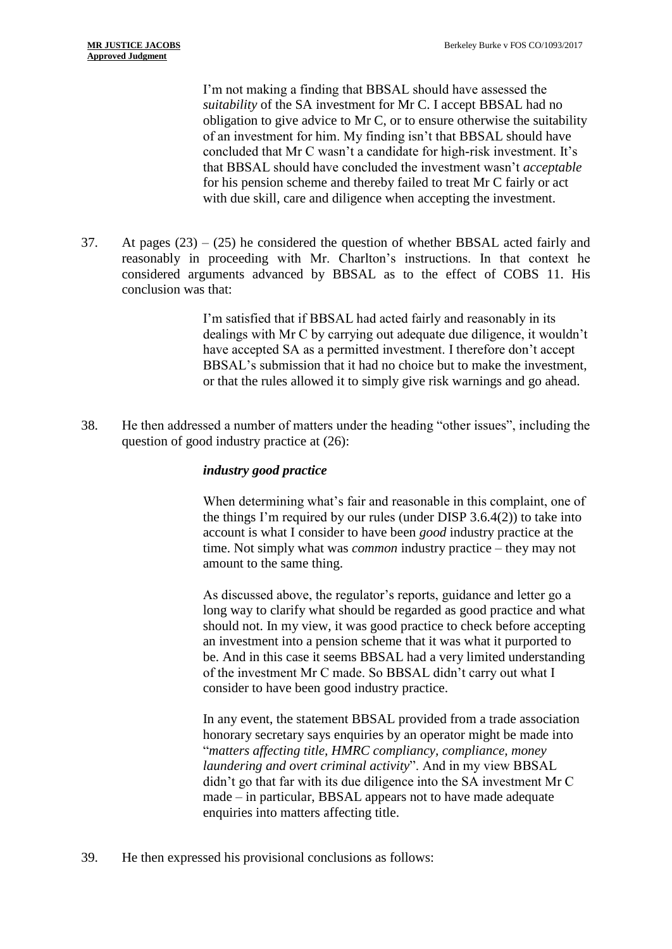I'm not making a finding that BBSAL should have assessed the *suitability* of the SA investment for Mr C. I accept BBSAL had no obligation to give advice to Mr C, or to ensure otherwise the suitability of an investment for him. My finding isn't that BBSAL should have concluded that Mr C wasn't a candidate for high-risk investment. It's that BBSAL should have concluded the investment wasn't *acceptable*  for his pension scheme and thereby failed to treat Mr C fairly or act with due skill, care and diligence when accepting the investment.

37. At pages (23) – (25) he considered the question of whether BBSAL acted fairly and reasonably in proceeding with Mr. Charlton's instructions. In that context he considered arguments advanced by BBSAL as to the effect of COBS 11. His conclusion was that:

> I'm satisfied that if BBSAL had acted fairly and reasonably in its dealings with Mr C by carrying out adequate due diligence, it wouldn't have accepted SA as a permitted investment. I therefore don't accept BBSAL's submission that it had no choice but to make the investment, or that the rules allowed it to simply give risk warnings and go ahead.

38. He then addressed a number of matters under the heading "other issues", including the question of good industry practice at (26):

## *industry good practice*

When determining what's fair and reasonable in this complaint, one of the things I'm required by our rules (under DISP 3.6.4(2)) to take into account is what I consider to have been *good* industry practice at the time. Not simply what was *common* industry practice – they may not amount to the same thing.

As discussed above, the regulator's reports, guidance and letter go a long way to clarify what should be regarded as good practice and what should not. In my view, it was good practice to check before accepting an investment into a pension scheme that it was what it purported to be. And in this case it seems BBSAL had a very limited understanding of the investment Mr C made. So BBSAL didn't carry out what I consider to have been good industry practice.

In any event, the statement BBSAL provided from a trade association honorary secretary says enquiries by an operator might be made into "*matters affecting title, HMRC compliancy, compliance, money laundering and overt criminal activity*". And in my view BBSAL didn't go that far with its due diligence into the SA investment Mr C made – in particular, BBSAL appears not to have made adequate enquiries into matters affecting title.

39. He then expressed his provisional conclusions as follows: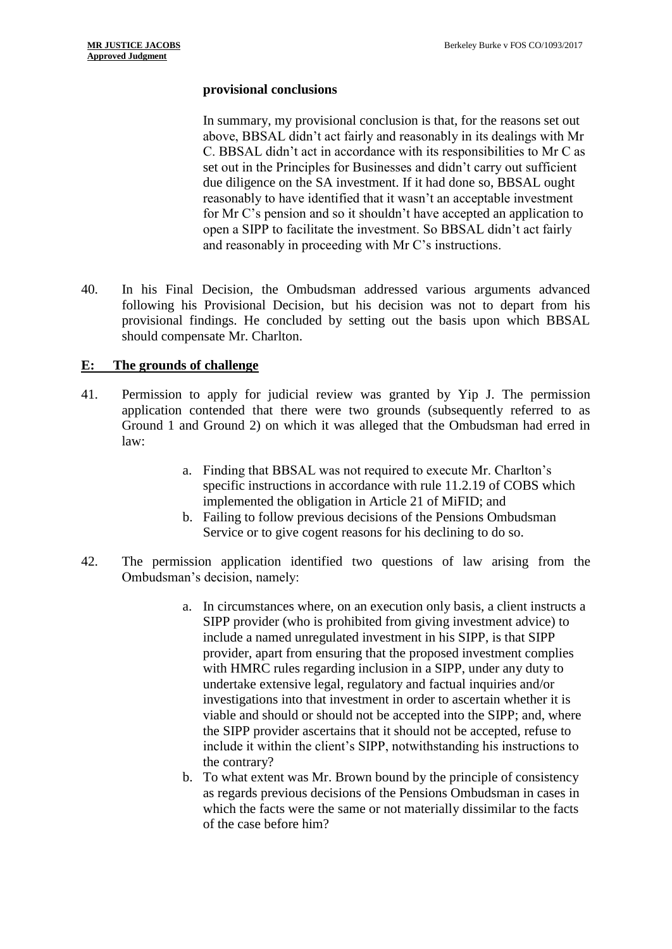## **provisional conclusions**

In summary, my provisional conclusion is that, for the reasons set out above, BBSAL didn't act fairly and reasonably in its dealings with Mr C. BBSAL didn't act in accordance with its responsibilities to Mr C as set out in the Principles for Businesses and didn't carry out sufficient due diligence on the SA investment. If it had done so, BBSAL ought reasonably to have identified that it wasn't an acceptable investment for Mr C's pension and so it shouldn't have accepted an application to open a SIPP to facilitate the investment. So BBSAL didn't act fairly and reasonably in proceeding with Mr C's instructions.

40. In his Final Decision, the Ombudsman addressed various arguments advanced following his Provisional Decision, but his decision was not to depart from his provisional findings. He concluded by setting out the basis upon which BBSAL should compensate Mr. Charlton.

# **E: The grounds of challenge**

- 41. Permission to apply for judicial review was granted by Yip J. The permission application contended that there were two grounds (subsequently referred to as Ground 1 and Ground 2) on which it was alleged that the Ombudsman had erred in law:
	- a. Finding that BBSAL was not required to execute Mr. Charlton's specific instructions in accordance with rule 11.2.19 of COBS which implemented the obligation in Article 21 of MiFID; and
	- b. Failing to follow previous decisions of the Pensions Ombudsman Service or to give cogent reasons for his declining to do so.
- 42. The permission application identified two questions of law arising from the Ombudsman's decision, namely:
	- a. In circumstances where, on an execution only basis, a client instructs a SIPP provider (who is prohibited from giving investment advice) to include a named unregulated investment in his SIPP, is that SIPP provider, apart from ensuring that the proposed investment complies with HMRC rules regarding inclusion in a SIPP, under any duty to undertake extensive legal, regulatory and factual inquiries and/or investigations into that investment in order to ascertain whether it is viable and should or should not be accepted into the SIPP; and, where the SIPP provider ascertains that it should not be accepted, refuse to include it within the client's SIPP, notwithstanding his instructions to the contrary?
	- b. To what extent was Mr. Brown bound by the principle of consistency as regards previous decisions of the Pensions Ombudsman in cases in which the facts were the same or not materially dissimilar to the facts of the case before him?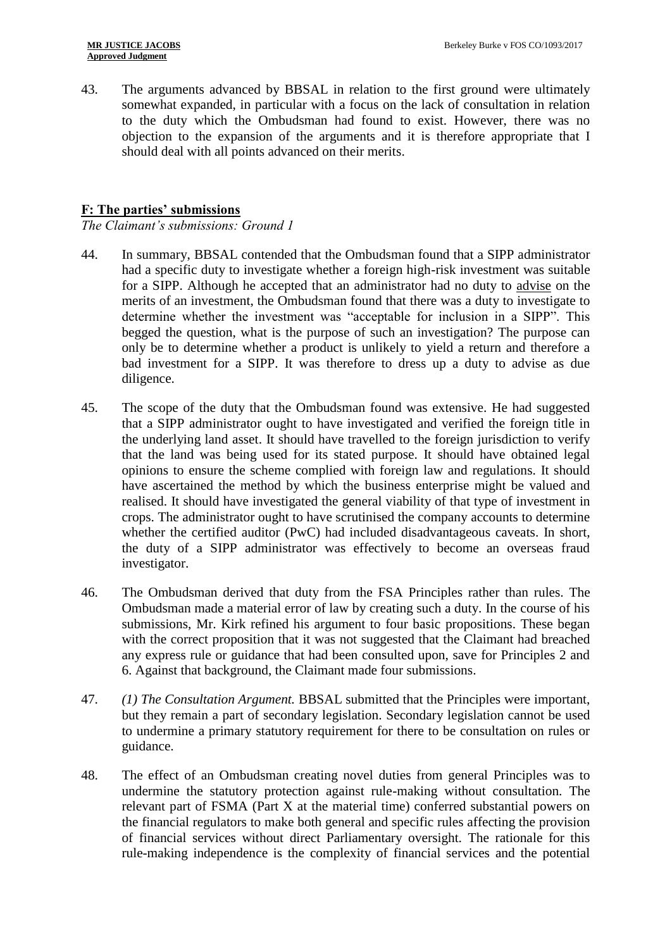43. The arguments advanced by BBSAL in relation to the first ground were ultimately somewhat expanded, in particular with a focus on the lack of consultation in relation to the duty which the Ombudsman had found to exist. However, there was no objection to the expansion of the arguments and it is therefore appropriate that I should deal with all points advanced on their merits.

## **F: The parties' submissions**

*The Claimant's submissions: Ground 1*

- 44. In summary, BBSAL contended that the Ombudsman found that a SIPP administrator had a specific duty to investigate whether a foreign high-risk investment was suitable for a SIPP. Although he accepted that an administrator had no duty to advise on the merits of an investment, the Ombudsman found that there was a duty to investigate to determine whether the investment was "acceptable for inclusion in a SIPP". This begged the question, what is the purpose of such an investigation? The purpose can only be to determine whether a product is unlikely to yield a return and therefore a bad investment for a SIPP. It was therefore to dress up a duty to advise as due diligence.
- 45. The scope of the duty that the Ombudsman found was extensive. He had suggested that a SIPP administrator ought to have investigated and verified the foreign title in the underlying land asset. It should have travelled to the foreign jurisdiction to verify that the land was being used for its stated purpose. It should have obtained legal opinions to ensure the scheme complied with foreign law and regulations. It should have ascertained the method by which the business enterprise might be valued and realised. It should have investigated the general viability of that type of investment in crops. The administrator ought to have scrutinised the company accounts to determine whether the certified auditor (PwC) had included disadvantageous caveats. In short, the duty of a SIPP administrator was effectively to become an overseas fraud investigator.
- 46. The Ombudsman derived that duty from the FSA Principles rather than rules. The Ombudsman made a material error of law by creating such a duty. In the course of his submissions, Mr. Kirk refined his argument to four basic propositions. These began with the correct proposition that it was not suggested that the Claimant had breached any express rule or guidance that had been consulted upon, save for Principles 2 and 6. Against that background, the Claimant made four submissions.
- 47. *(1) The Consultation Argument.* BBSAL submitted that the Principles were important, but they remain a part of secondary legislation. Secondary legislation cannot be used to undermine a primary statutory requirement for there to be consultation on rules or guidance.
- 48. The effect of an Ombudsman creating novel duties from general Principles was to undermine the statutory protection against rule-making without consultation. The relevant part of FSMA (Part X at the material time) conferred substantial powers on the financial regulators to make both general and specific rules affecting the provision of financial services without direct Parliamentary oversight. The rationale for this rule-making independence is the complexity of financial services and the potential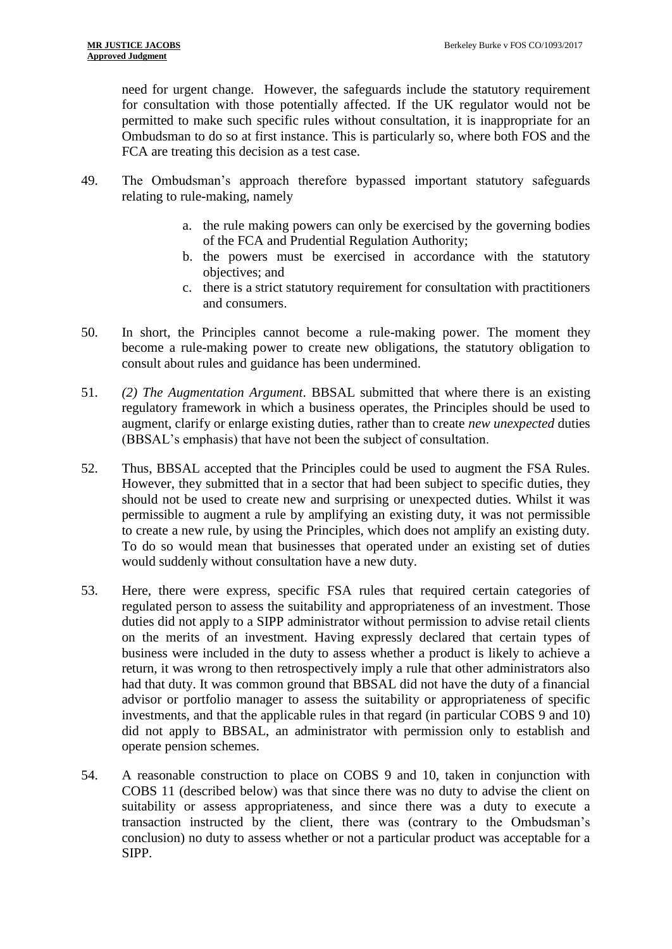need for urgent change. However, the safeguards include the statutory requirement for consultation with those potentially affected. If the UK regulator would not be permitted to make such specific rules without consultation, it is inappropriate for an Ombudsman to do so at first instance. This is particularly so, where both FOS and the FCA are treating this decision as a test case.

- 49. The Ombudsman's approach therefore bypassed important statutory safeguards relating to rule-making, namely
	- a. the rule making powers can only be exercised by the governing bodies of the FCA and Prudential Regulation Authority;
	- b. the powers must be exercised in accordance with the statutory objectives; and
	- c. there is a strict statutory requirement for consultation with practitioners and consumers.
- 50. In short, the Principles cannot become a rule-making power. The moment they become a rule-making power to create new obligations, the statutory obligation to consult about rules and guidance has been undermined.
- 51. *(2) The Augmentation Argument*. BBSAL submitted that where there is an existing regulatory framework in which a business operates, the Principles should be used to augment, clarify or enlarge existing duties, rather than to create *new unexpected* duties (BBSAL's emphasis) that have not been the subject of consultation.
- 52. Thus, BBSAL accepted that the Principles could be used to augment the FSA Rules. However, they submitted that in a sector that had been subject to specific duties, they should not be used to create new and surprising or unexpected duties. Whilst it was permissible to augment a rule by amplifying an existing duty, it was not permissible to create a new rule, by using the Principles, which does not amplify an existing duty. To do so would mean that businesses that operated under an existing set of duties would suddenly without consultation have a new duty.
- 53. Here, there were express, specific FSA rules that required certain categories of regulated person to assess the suitability and appropriateness of an investment. Those duties did not apply to a SIPP administrator without permission to advise retail clients on the merits of an investment. Having expressly declared that certain types of business were included in the duty to assess whether a product is likely to achieve a return, it was wrong to then retrospectively imply a rule that other administrators also had that duty. It was common ground that BBSAL did not have the duty of a financial advisor or portfolio manager to assess the suitability or appropriateness of specific investments, and that the applicable rules in that regard (in particular COBS 9 and 10) did not apply to BBSAL, an administrator with permission only to establish and operate pension schemes.
- 54. A reasonable construction to place on COBS 9 and 10, taken in conjunction with COBS 11 (described below) was that since there was no duty to advise the client on suitability or assess appropriateness, and since there was a duty to execute a transaction instructed by the client, there was (contrary to the Ombudsman's conclusion) no duty to assess whether or not a particular product was acceptable for a SIPP.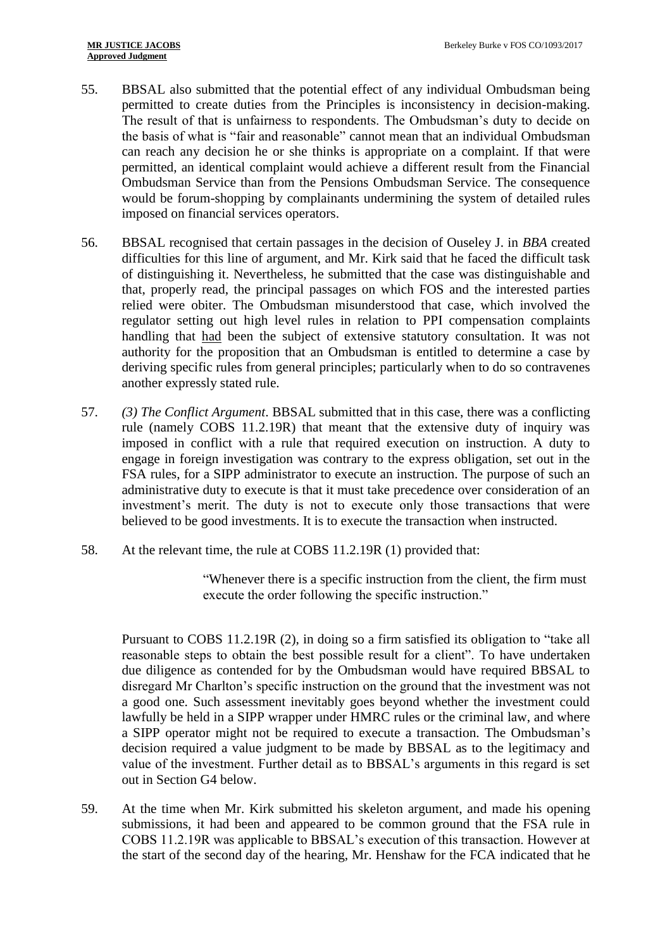- 55. BBSAL also submitted that the potential effect of any individual Ombudsman being permitted to create duties from the Principles is inconsistency in decision-making. The result of that is unfairness to respondents. The Ombudsman's duty to decide on the basis of what is "fair and reasonable" cannot mean that an individual Ombudsman can reach any decision he or she thinks is appropriate on a complaint. If that were permitted, an identical complaint would achieve a different result from the Financial Ombudsman Service than from the Pensions Ombudsman Service. The consequence would be forum-shopping by complainants undermining the system of detailed rules imposed on financial services operators.
- 56. BBSAL recognised that certain passages in the decision of Ouseley J. in *BBA* created difficulties for this line of argument, and Mr. Kirk said that he faced the difficult task of distinguishing it. Nevertheless, he submitted that the case was distinguishable and that, properly read, the principal passages on which FOS and the interested parties relied were obiter. The Ombudsman misunderstood that case, which involved the regulator setting out high level rules in relation to PPI compensation complaints handling that had been the subject of extensive statutory consultation. It was not authority for the proposition that an Ombudsman is entitled to determine a case by deriving specific rules from general principles; particularly when to do so contravenes another expressly stated rule.
- 57. *(3) The Conflict Argument*. BBSAL submitted that in this case, there was a conflicting rule (namely COBS 11.2.19R) that meant that the extensive duty of inquiry was imposed in conflict with a rule that required execution on instruction. A duty to engage in foreign investigation was contrary to the express obligation, set out in the FSA rules, for a SIPP administrator to execute an instruction. The purpose of such an administrative duty to execute is that it must take precedence over consideration of an investment's merit. The duty is not to execute only those transactions that were believed to be good investments. It is to execute the transaction when instructed.
- 58. At the relevant time, the rule at COBS 11.2.19R (1) provided that:

"Whenever there is a specific instruction from the client, the firm must execute the order following the specific instruction."

Pursuant to COBS 11.2.19R (2), in doing so a firm satisfied its obligation to "take all reasonable steps to obtain the best possible result for a client". To have undertaken due diligence as contended for by the Ombudsman would have required BBSAL to disregard Mr Charlton's specific instruction on the ground that the investment was not a good one. Such assessment inevitably goes beyond whether the investment could lawfully be held in a SIPP wrapper under HMRC rules or the criminal law, and where a SIPP operator might not be required to execute a transaction. The Ombudsman's decision required a value judgment to be made by BBSAL as to the legitimacy and value of the investment. Further detail as to BBSAL's arguments in this regard is set out in Section G4 below.

59. At the time when Mr. Kirk submitted his skeleton argument, and made his opening submissions, it had been and appeared to be common ground that the FSA rule in COBS 11.2.19R was applicable to BBSAL's execution of this transaction. However at the start of the second day of the hearing, Mr. Henshaw for the FCA indicated that he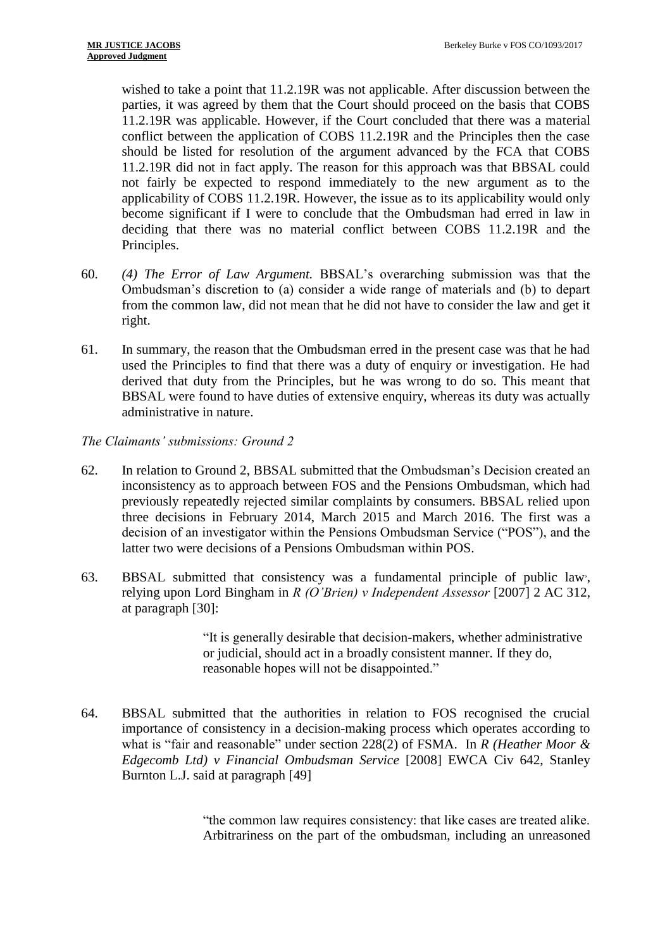wished to take a point that 11.2.19R was not applicable. After discussion between the parties, it was agreed by them that the Court should proceed on the basis that COBS 11.2.19R was applicable. However, if the Court concluded that there was a material conflict between the application of COBS 11.2.19R and the Principles then the case should be listed for resolution of the argument advanced by the FCA that COBS 11.2.19R did not in fact apply. The reason for this approach was that BBSAL could not fairly be expected to respond immediately to the new argument as to the applicability of COBS 11.2.19R. However, the issue as to its applicability would only become significant if I were to conclude that the Ombudsman had erred in law in deciding that there was no material conflict between COBS 11.2.19R and the Principles.

- 60. *(4) The Error of Law Argument.* BBSAL's overarching submission was that the Ombudsman's discretion to (a) consider a wide range of materials and (b) to depart from the common law, did not mean that he did not have to consider the law and get it right.
- 61. In summary, the reason that the Ombudsman erred in the present case was that he had used the Principles to find that there was a duty of enquiry or investigation. He had derived that duty from the Principles, but he was wrong to do so. This meant that BBSAL were found to have duties of extensive enquiry, whereas its duty was actually administrative in nature.

*The Claimants' submissions: Ground 2*

- 62. In relation to Ground 2, BBSAL submitted that the Ombudsman's Decision created an inconsistency as to approach between FOS and the Pensions Ombudsman, which had previously repeatedly rejected similar complaints by consumers. BBSAL relied upon three decisions in February 2014, March 2015 and March 2016. The first was a decision of an investigator within the Pensions Ombudsman Service ("POS"), and the latter two were decisions of a Pensions Ombudsman within POS.
- 63. BBSAL submitted that consistency was a fundamental principle of public law, , relying upon Lord Bingham in *R (O'Brien) v Independent Assessor* [2007] 2 AC 312, at paragraph [30]:

"It is generally desirable that decision-makers, whether administrative or judicial, should act in a broadly consistent manner. If they do, reasonable hopes will not be disappointed."

64. BBSAL submitted that the authorities in relation to FOS recognised the crucial importance of consistency in a decision-making process which operates according to what is "fair and reasonable" under section 228(2) of FSMA. In *R (Heather Moor & Edgecomb Ltd) v Financial Ombudsman Service* [2008] EWCA Civ 642, Stanley Burnton L.J. said at paragraph [49]

> "the common law requires consistency: that like cases are treated alike. Arbitrariness on the part of the ombudsman, including an unreasoned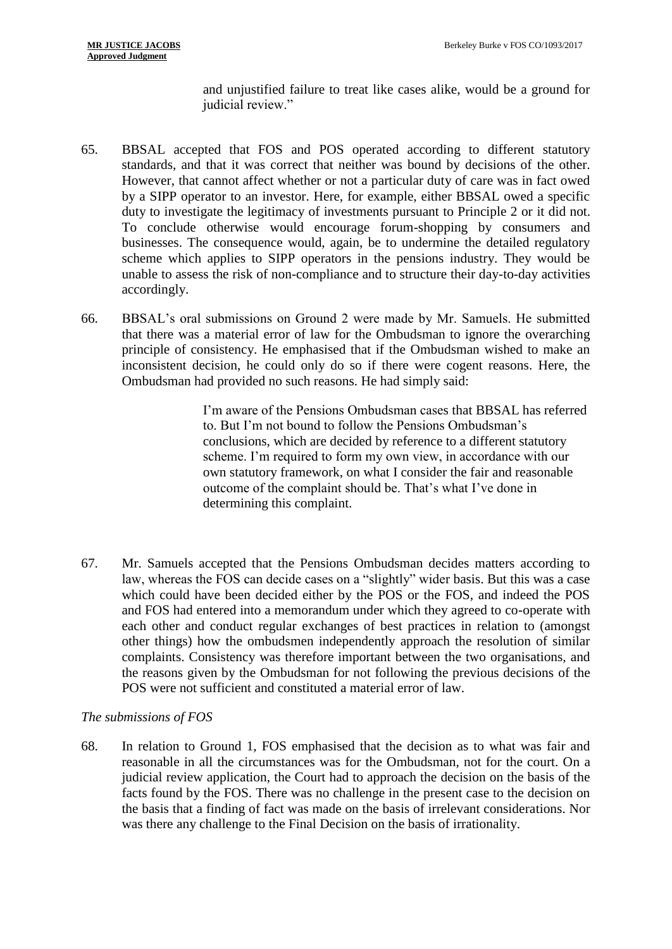and unjustified failure to treat like cases alike, would be a ground for judicial review."

- 65. BBSAL accepted that FOS and POS operated according to different statutory standards, and that it was correct that neither was bound by decisions of the other. However, that cannot affect whether or not a particular duty of care was in fact owed by a SIPP operator to an investor. Here, for example, either BBSAL owed a specific duty to investigate the legitimacy of investments pursuant to Principle 2 or it did not. To conclude otherwise would encourage forum-shopping by consumers and businesses. The consequence would, again, be to undermine the detailed regulatory scheme which applies to SIPP operators in the pensions industry. They would be unable to assess the risk of non-compliance and to structure their day-to-day activities accordingly.
- 66. BBSAL's oral submissions on Ground 2 were made by Mr. Samuels. He submitted that there was a material error of law for the Ombudsman to ignore the overarching principle of consistency. He emphasised that if the Ombudsman wished to make an inconsistent decision, he could only do so if there were cogent reasons. Here, the Ombudsman had provided no such reasons. He had simply said:

I'm aware of the Pensions Ombudsman cases that BBSAL has referred to. But I'm not bound to follow the Pensions Ombudsman's conclusions, which are decided by reference to a different statutory scheme. I'm required to form my own view, in accordance with our own statutory framework, on what I consider the fair and reasonable outcome of the complaint should be. That's what I've done in determining this complaint.

67. Mr. Samuels accepted that the Pensions Ombudsman decides matters according to law, whereas the FOS can decide cases on a "slightly" wider basis. But this was a case which could have been decided either by the POS or the FOS, and indeed the POS and FOS had entered into a memorandum under which they agreed to co-operate with each other and conduct regular exchanges of best practices in relation to (amongst other things) how the ombudsmen independently approach the resolution of similar complaints. Consistency was therefore important between the two organisations, and the reasons given by the Ombudsman for not following the previous decisions of the POS were not sufficient and constituted a material error of law.

# *The submissions of FOS*

68. In relation to Ground 1, FOS emphasised that the decision as to what was fair and reasonable in all the circumstances was for the Ombudsman, not for the court. On a judicial review application, the Court had to approach the decision on the basis of the facts found by the FOS. There was no challenge in the present case to the decision on the basis that a finding of fact was made on the basis of irrelevant considerations. Nor was there any challenge to the Final Decision on the basis of irrationality.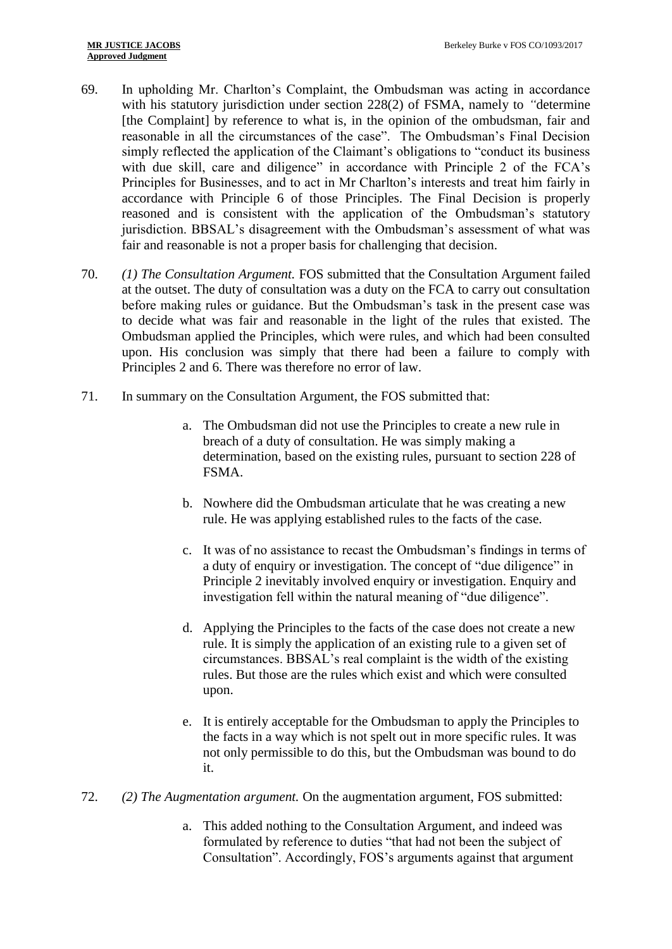- 69. In upholding Mr. Charlton's Complaint, the Ombudsman was acting in accordance with his statutory jurisdiction under section 228(2) of FSMA, namely to *"*determine [the Complaint] by reference to what is, in the opinion of the ombudsman, fair and reasonable in all the circumstances of the case". The Ombudsman's Final Decision simply reflected the application of the Claimant's obligations to "conduct its business with due skill, care and diligence" in accordance with Principle 2 of the FCA's Principles for Businesses, and to act in Mr Charlton's interests and treat him fairly in accordance with Principle 6 of those Principles. The Final Decision is properly reasoned and is consistent with the application of the Ombudsman's statutory jurisdiction. BBSAL's disagreement with the Ombudsman's assessment of what was fair and reasonable is not a proper basis for challenging that decision.
- 70. *(1) The Consultation Argument.* FOS submitted that the Consultation Argument failed at the outset. The duty of consultation was a duty on the FCA to carry out consultation before making rules or guidance. But the Ombudsman's task in the present case was to decide what was fair and reasonable in the light of the rules that existed. The Ombudsman applied the Principles, which were rules, and which had been consulted upon. His conclusion was simply that there had been a failure to comply with Principles 2 and 6. There was therefore no error of law.
- 71. In summary on the Consultation Argument, the FOS submitted that:
	- a. The Ombudsman did not use the Principles to create a new rule in breach of a duty of consultation. He was simply making a determination, based on the existing rules, pursuant to section 228 of FSMA.
	- b. Nowhere did the Ombudsman articulate that he was creating a new rule. He was applying established rules to the facts of the case.
	- c. It was of no assistance to recast the Ombudsman's findings in terms of a duty of enquiry or investigation. The concept of "due diligence" in Principle 2 inevitably involved enquiry or investigation. Enquiry and investigation fell within the natural meaning of "due diligence".
	- d. Applying the Principles to the facts of the case does not create a new rule. It is simply the application of an existing rule to a given set of circumstances. BBSAL's real complaint is the width of the existing rules. But those are the rules which exist and which were consulted upon.
	- e. It is entirely acceptable for the Ombudsman to apply the Principles to the facts in a way which is not spelt out in more specific rules. It was not only permissible to do this, but the Ombudsman was bound to do it.
- 72. *(2) The Augmentation argument.* On the augmentation argument, FOS submitted:
	- a. This added nothing to the Consultation Argument, and indeed was formulated by reference to duties "that had not been the subject of Consultation". Accordingly, FOS's arguments against that argument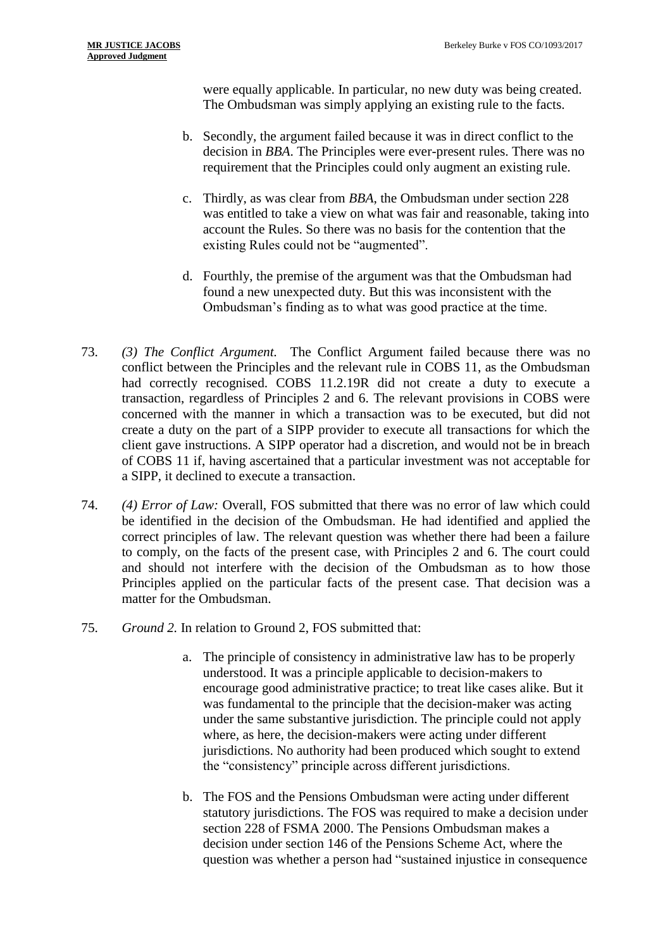were equally applicable. In particular, no new duty was being created. The Ombudsman was simply applying an existing rule to the facts.

- b. Secondly, the argument failed because it was in direct conflict to the decision in *BBA*. The Principles were ever-present rules. There was no requirement that the Principles could only augment an existing rule.
- c. Thirdly, as was clear from *BBA*, the Ombudsman under section 228 was entitled to take a view on what was fair and reasonable, taking into account the Rules. So there was no basis for the contention that the existing Rules could not be "augmented".
- d. Fourthly, the premise of the argument was that the Ombudsman had found a new unexpected duty. But this was inconsistent with the Ombudsman's finding as to what was good practice at the time.
- 73. *(3) The Conflict Argument.* The Conflict Argument failed because there was no conflict between the Principles and the relevant rule in COBS 11, as the Ombudsman had correctly recognised. COBS 11.2.19R did not create a duty to execute a transaction, regardless of Principles 2 and 6. The relevant provisions in COBS were concerned with the manner in which a transaction was to be executed, but did not create a duty on the part of a SIPP provider to execute all transactions for which the client gave instructions. A SIPP operator had a discretion, and would not be in breach of COBS 11 if, having ascertained that a particular investment was not acceptable for a SIPP, it declined to execute a transaction.
- 74. *(4) Error of Law:* Overall, FOS submitted that there was no error of law which could be identified in the decision of the Ombudsman. He had identified and applied the correct principles of law. The relevant question was whether there had been a failure to comply, on the facts of the present case, with Principles 2 and 6. The court could and should not interfere with the decision of the Ombudsman as to how those Principles applied on the particular facts of the present case. That decision was a matter for the Ombudsman.
- 75. *Ground 2.* In relation to Ground 2, FOS submitted that:
	- a. The principle of consistency in administrative law has to be properly understood. It was a principle applicable to decision-makers to encourage good administrative practice; to treat like cases alike. But it was fundamental to the principle that the decision-maker was acting under the same substantive jurisdiction. The principle could not apply where, as here, the decision-makers were acting under different jurisdictions. No authority had been produced which sought to extend the "consistency" principle across different jurisdictions.
	- b. The FOS and the Pensions Ombudsman were acting under different statutory jurisdictions. The FOS was required to make a decision under section 228 of FSMA 2000. The Pensions Ombudsman makes a decision under section 146 of the Pensions Scheme Act, where the question was whether a person had "sustained injustice in consequence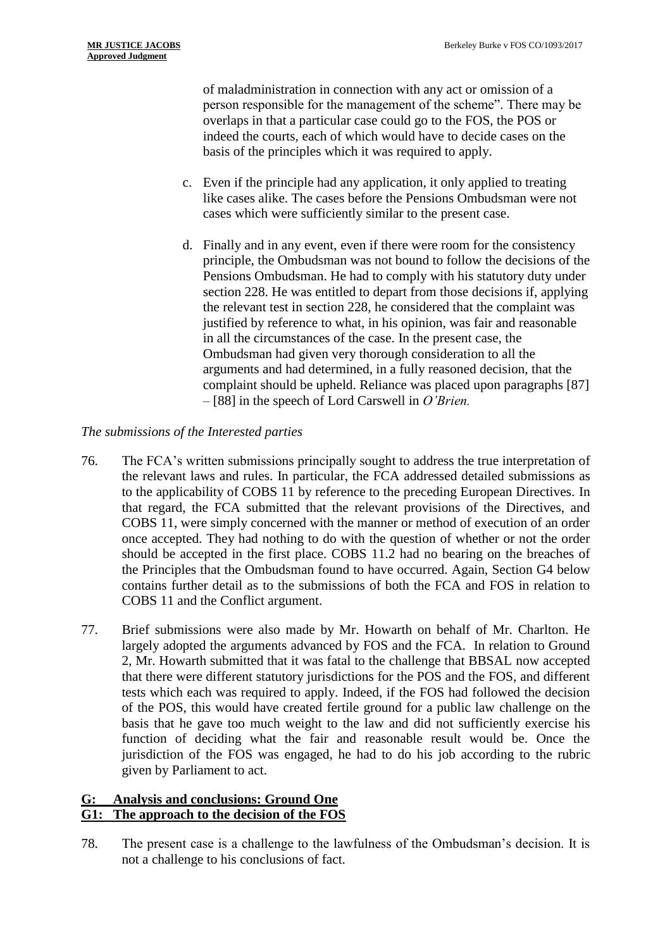of maladministration in connection with any act or omission of a person responsible for the management of the scheme". There may be overlaps in that a particular case could go to the FOS, the POS or indeed the courts, each of which would have to decide cases on the basis of the principles which it was required to apply.

- c. Even if the principle had any application, it only applied to treating like cases alike. The cases before the Pensions Ombudsman were not cases which were sufficiently similar to the present case.
- d. Finally and in any event, even if there were room for the consistency principle, the Ombudsman was not bound to follow the decisions of the Pensions Ombudsman. He had to comply with his statutory duty under section 228. He was entitled to depart from those decisions if, applying the relevant test in section 228, he considered that the complaint was justified by reference to what, in his opinion, was fair and reasonable in all the circumstances of the case. In the present case, the Ombudsman had given very thorough consideration to all the arguments and had determined, in a fully reasoned decision, that the complaint should be upheld. Reliance was placed upon paragraphs [87] – [88] in the speech of Lord Carswell in *O'Brien.*

# *The submissions of the Interested parties*

- 76. The FCA's written submissions principally sought to address the true interpretation of the relevant laws and rules. In particular, the FCA addressed detailed submissions as to the applicability of COBS 11 by reference to the preceding European Directives. In that regard, the FCA submitted that the relevant provisions of the Directives, and COBS 11, were simply concerned with the manner or method of execution of an order once accepted. They had nothing to do with the question of whether or not the order should be accepted in the first place. COBS 11.2 had no bearing on the breaches of the Principles that the Ombudsman found to have occurred. Again, Section G4 below contains further detail as to the submissions of both the FCA and FOS in relation to COBS 11 and the Conflict argument.
- 77. Brief submissions were also made by Mr. Howarth on behalf of Mr. Charlton. He largely adopted the arguments advanced by FOS and the FCA. In relation to Ground 2, Mr. Howarth submitted that it was fatal to the challenge that BBSAL now accepted that there were different statutory jurisdictions for the POS and the FOS, and different tests which each was required to apply. Indeed, if the FOS had followed the decision of the POS, this would have created fertile ground for a public law challenge on the basis that he gave too much weight to the law and did not sufficiently exercise his function of deciding what the fair and reasonable result would be. Once the jurisdiction of the FOS was engaged, he had to do his job according to the rubric given by Parliament to act.

## **G: Analysis and conclusions: Ground One G1: The approach to the decision of the FOS**

78. The present case is a challenge to the lawfulness of the Ombudsman's decision. It is not a challenge to his conclusions of fact.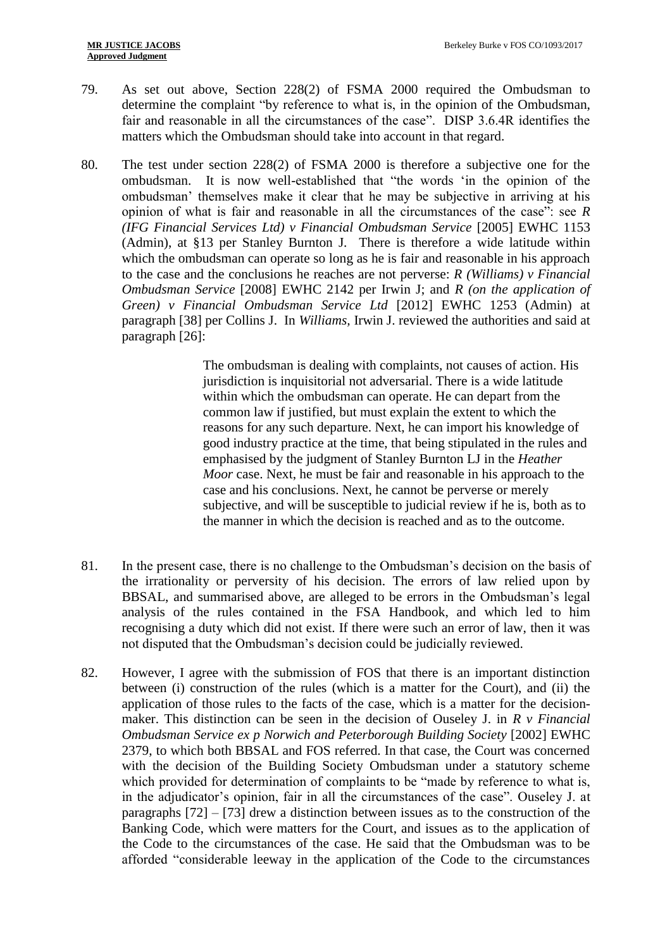- 79. As set out above, Section 228(2) of FSMA 2000 required the Ombudsman to determine the complaint "by reference to what is, in the opinion of the Ombudsman, fair and reasonable in all the circumstances of the case". DISP 3.6.4R identifies the matters which the Ombudsman should take into account in that regard.
- 80. The test under section 228(2) of FSMA 2000 is therefore a subjective one for the ombudsman. It is now well-established that "the words 'in the opinion of the ombudsman' themselves make it clear that he may be subjective in arriving at his opinion of what is fair and reasonable in all the circumstances of the case": see *R (IFG Financial Services Ltd) v Financial Ombudsman Service* [2005] EWHC 1153 (Admin), at §13 per Stanley Burnton J*.* There is therefore a wide latitude within which the ombudsman can operate so long as he is fair and reasonable in his approach to the case and the conclusions he reaches are not perverse: *R (Williams) v Financial Ombudsman Service* [2008] EWHC 2142 per Irwin J; and *R (on the application of Green) v Financial Ombudsman Service Ltd* [2012] EWHC 1253 (Admin) at paragraph [38] per Collins J. In *Williams,* Irwin J. reviewed the authorities and said at paragraph [26]:

The ombudsman is dealing with complaints, not causes of action. His jurisdiction is inquisitorial not adversarial. There is a wide latitude within which the ombudsman can operate. He can depart from the common law if justified, but must explain the extent to which the reasons for any such departure. Next, he can import his knowledge of good industry practice at the time, that being stipulated in the rules and emphasised by the judgment of Stanley Burnton LJ in the *Heather Moor* case. Next, he must be fair and reasonable in his approach to the case and his conclusions. Next, he cannot be perverse or merely subjective, and will be susceptible to judicial review if he is, both as to the manner in which the decision is reached and as to the outcome.

- 81. In the present case, there is no challenge to the Ombudsman's decision on the basis of the irrationality or perversity of his decision. The errors of law relied upon by BBSAL, and summarised above, are alleged to be errors in the Ombudsman's legal analysis of the rules contained in the FSA Handbook, and which led to him recognising a duty which did not exist. If there were such an error of law, then it was not disputed that the Ombudsman's decision could be judicially reviewed.
- 82. However, I agree with the submission of FOS that there is an important distinction between (i) construction of the rules (which is a matter for the Court), and (ii) the application of those rules to the facts of the case, which is a matter for the decisionmaker. This distinction can be seen in the decision of Ouseley J. in *R v Financial Ombudsman Service ex p Norwich and Peterborough Building Society* [2002] EWHC 2379, to which both BBSAL and FOS referred. In that case, the Court was concerned with the decision of the Building Society Ombudsman under a statutory scheme which provided for determination of complaints to be "made by reference to what is, in the adjudicator's opinion, fair in all the circumstances of the case". Ouseley J. at paragraphs [72] – [73] drew a distinction between issues as to the construction of the Banking Code, which were matters for the Court, and issues as to the application of the Code to the circumstances of the case. He said that the Ombudsman was to be afforded "considerable leeway in the application of the Code to the circumstances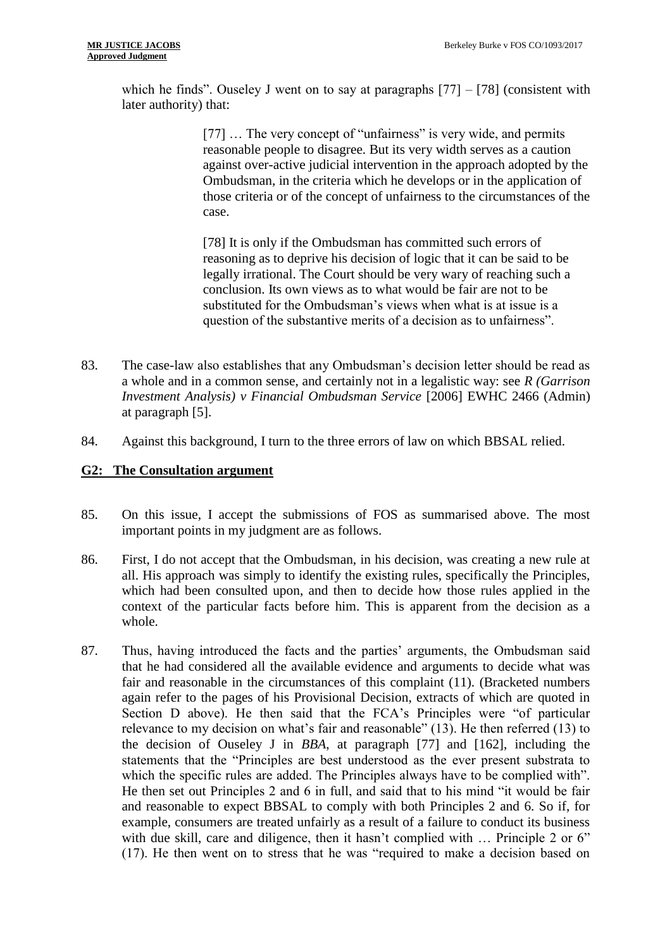which he finds". Ouseley J went on to say at paragraphs [77] – [78] (consistent with later authority) that:

> [77] ... The very concept of "unfairness" is very wide, and permits reasonable people to disagree. But its very width serves as a caution against over-active judicial intervention in the approach adopted by the Ombudsman, in the criteria which he develops or in the application of those criteria or of the concept of unfairness to the circumstances of the case.

[78] It is only if the Ombudsman has committed such errors of reasoning as to deprive his decision of logic that it can be said to be legally irrational. The Court should be very wary of reaching such a conclusion. Its own views as to what would be fair are not to be substituted for the Ombudsman's views when what is at issue is a question of the substantive merits of a decision as to unfairness".

- 83. The case-law also establishes that any Ombudsman's decision letter should be read as a whole and in a common sense, and certainly not in a legalistic way: see *R (Garrison Investment Analysis) v Financial Ombudsman Service* [2006] EWHC 2466 (Admin) at paragraph [5].
- 84. Against this background, I turn to the three errors of law on which BBSAL relied.

## **G2: The Consultation argument**

- 85. On this issue, I accept the submissions of FOS as summarised above. The most important points in my judgment are as follows.
- 86. First, I do not accept that the Ombudsman, in his decision, was creating a new rule at all. His approach was simply to identify the existing rules, specifically the Principles, which had been consulted upon, and then to decide how those rules applied in the context of the particular facts before him. This is apparent from the decision as a whole.
- 87. Thus, having introduced the facts and the parties' arguments, the Ombudsman said that he had considered all the available evidence and arguments to decide what was fair and reasonable in the circumstances of this complaint (11). (Bracketed numbers again refer to the pages of his Provisional Decision, extracts of which are quoted in Section D above). He then said that the FCA's Principles were "of particular relevance to my decision on what's fair and reasonable" (13). He then referred (13) to the decision of Ouseley J in *BBA*, at paragraph [77] and [162], including the statements that the "Principles are best understood as the ever present substrata to which the specific rules are added. The Principles always have to be complied with". He then set out Principles 2 and 6 in full, and said that to his mind "it would be fair and reasonable to expect BBSAL to comply with both Principles 2 and 6. So if, for example, consumers are treated unfairly as a result of a failure to conduct its business with due skill, care and diligence, then it hasn't complied with ... Principle 2 or 6" (17). He then went on to stress that he was "required to make a decision based on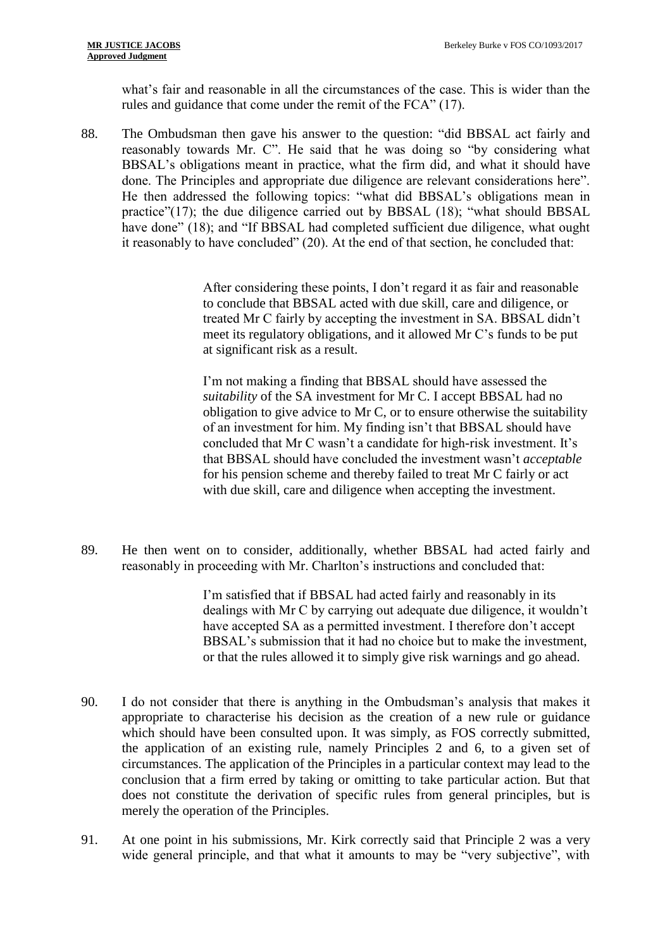what's fair and reasonable in all the circumstances of the case. This is wider than the rules and guidance that come under the remit of the FCA" (17).

88. The Ombudsman then gave his answer to the question: "did BBSAL act fairly and reasonably towards Mr. C". He said that he was doing so "by considering what BBSAL's obligations meant in practice, what the firm did, and what it should have done. The Principles and appropriate due diligence are relevant considerations here". He then addressed the following topics: "what did BBSAL's obligations mean in practice"(17); the due diligence carried out by BBSAL (18); "what should BBSAL have done" (18); and "If BBSAL had completed sufficient due diligence, what ought it reasonably to have concluded" (20). At the end of that section, he concluded that:

> After considering these points, I don't regard it as fair and reasonable to conclude that BBSAL acted with due skill, care and diligence, or treated Mr C fairly by accepting the investment in SA. BBSAL didn't meet its regulatory obligations, and it allowed Mr C's funds to be put at significant risk as a result.

I'm not making a finding that BBSAL should have assessed the *suitability* of the SA investment for Mr C. I accept BBSAL had no obligation to give advice to Mr C, or to ensure otherwise the suitability of an investment for him. My finding isn't that BBSAL should have concluded that Mr C wasn't a candidate for high-risk investment. It's that BBSAL should have concluded the investment wasn't *acceptable*  for his pension scheme and thereby failed to treat Mr C fairly or act with due skill, care and diligence when accepting the investment.

89. He then went on to consider, additionally, whether BBSAL had acted fairly and reasonably in proceeding with Mr. Charlton's instructions and concluded that:

> I'm satisfied that if BBSAL had acted fairly and reasonably in its dealings with Mr C by carrying out adequate due diligence, it wouldn't have accepted SA as a permitted investment. I therefore don't accept BBSAL's submission that it had no choice but to make the investment, or that the rules allowed it to simply give risk warnings and go ahead.

- 90. I do not consider that there is anything in the Ombudsman's analysis that makes it appropriate to characterise his decision as the creation of a new rule or guidance which should have been consulted upon. It was simply, as FOS correctly submitted, the application of an existing rule, namely Principles 2 and 6, to a given set of circumstances. The application of the Principles in a particular context may lead to the conclusion that a firm erred by taking or omitting to take particular action. But that does not constitute the derivation of specific rules from general principles, but is merely the operation of the Principles.
- 91. At one point in his submissions, Mr. Kirk correctly said that Principle 2 was a very wide general principle, and that what it amounts to may be "very subjective", with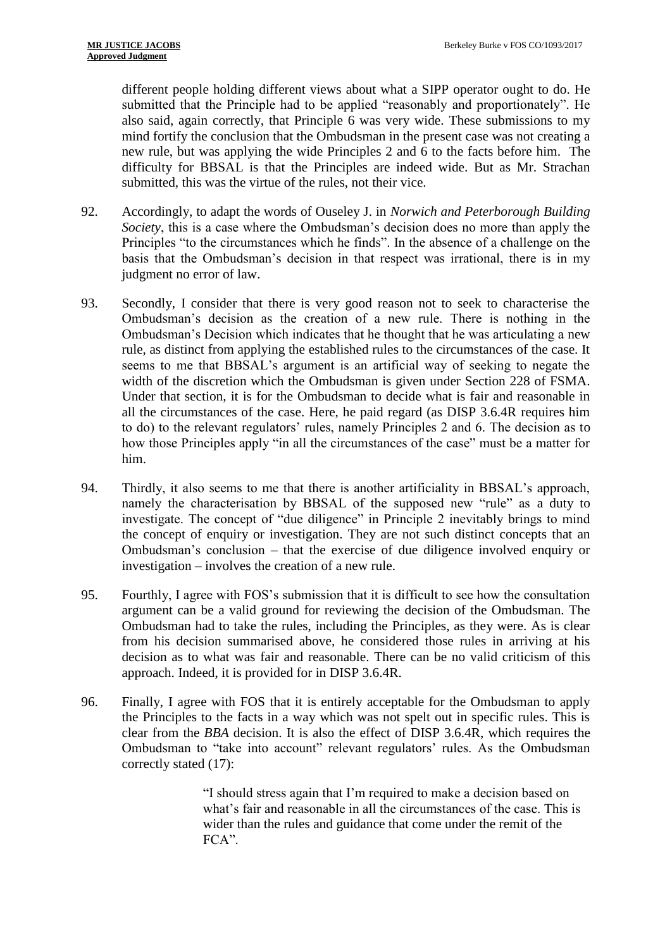different people holding different views about what a SIPP operator ought to do. He submitted that the Principle had to be applied "reasonably and proportionately". He also said, again correctly, that Principle 6 was very wide. These submissions to my mind fortify the conclusion that the Ombudsman in the present case was not creating a new rule, but was applying the wide Principles 2 and 6 to the facts before him. The difficulty for BBSAL is that the Principles are indeed wide. But as Mr. Strachan submitted, this was the virtue of the rules, not their vice.

- 92. Accordingly, to adapt the words of Ouseley J. in *Norwich and Peterborough Building Society*, this is a case where the Ombudsman's decision does no more than apply the Principles "to the circumstances which he finds". In the absence of a challenge on the basis that the Ombudsman's decision in that respect was irrational, there is in my judgment no error of law.
- 93. Secondly, I consider that there is very good reason not to seek to characterise the Ombudsman's decision as the creation of a new rule. There is nothing in the Ombudsman's Decision which indicates that he thought that he was articulating a new rule, as distinct from applying the established rules to the circumstances of the case. It seems to me that BBSAL's argument is an artificial way of seeking to negate the width of the discretion which the Ombudsman is given under Section 228 of FSMA. Under that section, it is for the Ombudsman to decide what is fair and reasonable in all the circumstances of the case. Here, he paid regard (as DISP 3.6.4R requires him to do) to the relevant regulators' rules, namely Principles 2 and 6. The decision as to how those Principles apply "in all the circumstances of the case" must be a matter for him.
- 94. Thirdly, it also seems to me that there is another artificiality in BBSAL's approach, namely the characterisation by BBSAL of the supposed new "rule" as a duty to investigate. The concept of "due diligence" in Principle 2 inevitably brings to mind the concept of enquiry or investigation. They are not such distinct concepts that an Ombudsman's conclusion – that the exercise of due diligence involved enquiry or investigation – involves the creation of a new rule.
- 95. Fourthly, I agree with FOS's submission that it is difficult to see how the consultation argument can be a valid ground for reviewing the decision of the Ombudsman. The Ombudsman had to take the rules, including the Principles, as they were. As is clear from his decision summarised above, he considered those rules in arriving at his decision as to what was fair and reasonable. There can be no valid criticism of this approach. Indeed, it is provided for in DISP 3.6.4R.
- 96. Finally, I agree with FOS that it is entirely acceptable for the Ombudsman to apply the Principles to the facts in a way which was not spelt out in specific rules. This is clear from the *BBA* decision. It is also the effect of DISP 3.6.4R, which requires the Ombudsman to "take into account" relevant regulators' rules. As the Ombudsman correctly stated (17):

"I should stress again that I'm required to make a decision based on what's fair and reasonable in all the circumstances of the case. This is wider than the rules and guidance that come under the remit of the FCA".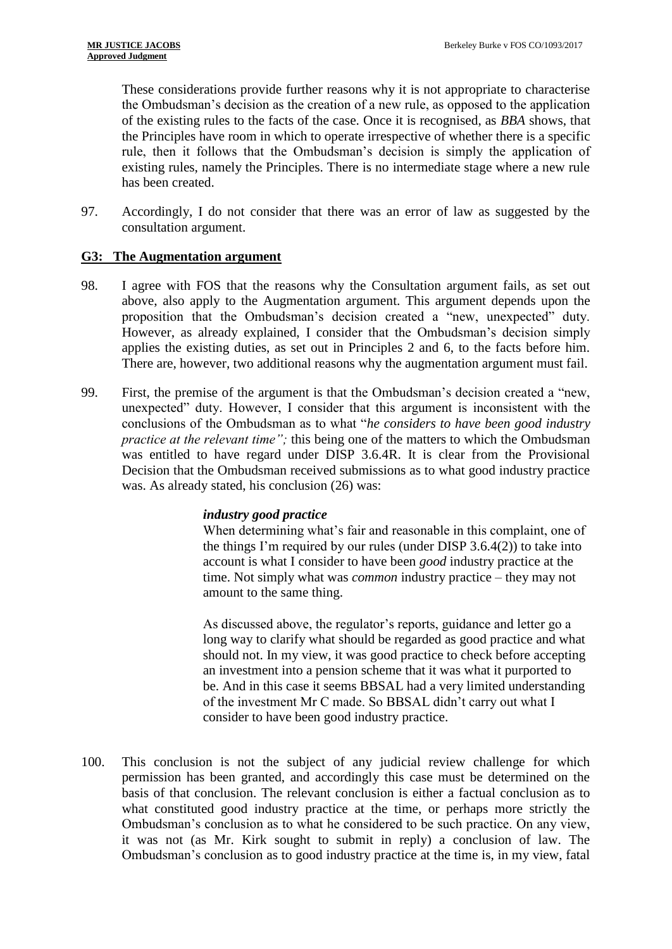These considerations provide further reasons why it is not appropriate to characterise the Ombudsman's decision as the creation of a new rule, as opposed to the application of the existing rules to the facts of the case. Once it is recognised, as *BBA* shows, that the Principles have room in which to operate irrespective of whether there is a specific rule, then it follows that the Ombudsman's decision is simply the application of existing rules, namely the Principles. There is no intermediate stage where a new rule has been created.

97. Accordingly, I do not consider that there was an error of law as suggested by the consultation argument.

## **G3: The Augmentation argument**

- 98. I agree with FOS that the reasons why the Consultation argument fails, as set out above, also apply to the Augmentation argument. This argument depends upon the proposition that the Ombudsman's decision created a "new, unexpected" duty. However, as already explained, I consider that the Ombudsman's decision simply applies the existing duties, as set out in Principles 2 and 6, to the facts before him. There are, however, two additional reasons why the augmentation argument must fail.
- 99. First, the premise of the argument is that the Ombudsman's decision created a "new, unexpected" duty. However, I consider that this argument is inconsistent with the conclusions of the Ombudsman as to what "*he considers to have been good industry practice at the relevant time";* this being one of the matters to which the Ombudsman was entitled to have regard under DISP 3.6.4R. It is clear from the Provisional Decision that the Ombudsman received submissions as to what good industry practice was. As already stated, his conclusion (26) was:

# *industry good practice*

When determining what's fair and reasonable in this complaint, one of the things I'm required by our rules (under DISP 3.6.4(2)) to take into account is what I consider to have been *good* industry practice at the time. Not simply what was *common* industry practice – they may not amount to the same thing.

As discussed above, the regulator's reports, guidance and letter go a long way to clarify what should be regarded as good practice and what should not. In my view, it was good practice to check before accepting an investment into a pension scheme that it was what it purported to be. And in this case it seems BBSAL had a very limited understanding of the investment Mr C made. So BBSAL didn't carry out what I consider to have been good industry practice.

100. This conclusion is not the subject of any judicial review challenge for which permission has been granted, and accordingly this case must be determined on the basis of that conclusion. The relevant conclusion is either a factual conclusion as to what constituted good industry practice at the time, or perhaps more strictly the Ombudsman's conclusion as to what he considered to be such practice. On any view, it was not (as Mr. Kirk sought to submit in reply) a conclusion of law. The Ombudsman's conclusion as to good industry practice at the time is, in my view, fatal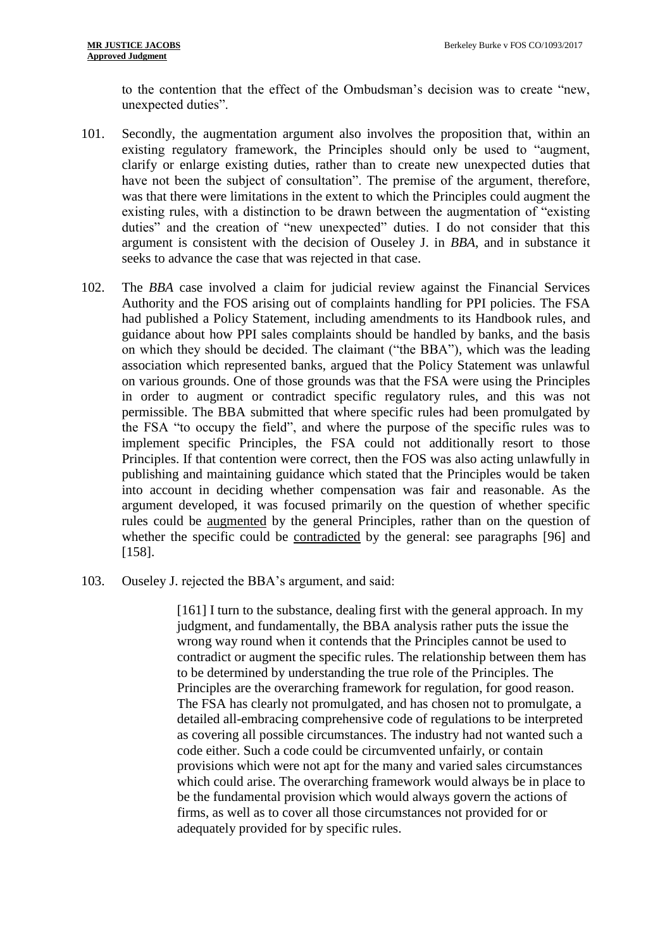to the contention that the effect of the Ombudsman's decision was to create "new, unexpected duties".

- 101. Secondly, the augmentation argument also involves the proposition that, within an existing regulatory framework, the Principles should only be used to "augment, clarify or enlarge existing duties, rather than to create new unexpected duties that have not been the subject of consultation". The premise of the argument, therefore, was that there were limitations in the extent to which the Principles could augment the existing rules, with a distinction to be drawn between the augmentation of "existing duties" and the creation of "new unexpected" duties. I do not consider that this argument is consistent with the decision of Ouseley J. in *BBA*, and in substance it seeks to advance the case that was rejected in that case.
- 102. The *BBA* case involved a claim for judicial review against the Financial Services Authority and the FOS arising out of complaints handling for PPI policies. The FSA had published a Policy Statement, including amendments to its Handbook rules, and guidance about how PPI sales complaints should be handled by banks, and the basis on which they should be decided. The claimant ("the BBA"), which was the leading association which represented banks, argued that the Policy Statement was unlawful on various grounds. One of those grounds was that the FSA were using the Principles in order to augment or contradict specific regulatory rules, and this was not permissible. The BBA submitted that where specific rules had been promulgated by the FSA "to occupy the field", and where the purpose of the specific rules was to implement specific Principles, the FSA could not additionally resort to those Principles. If that contention were correct, then the FOS was also acting unlawfully in publishing and maintaining guidance which stated that the Principles would be taken into account in deciding whether compensation was fair and reasonable. As the argument developed, it was focused primarily on the question of whether specific rules could be augmented by the general Principles, rather than on the question of whether the specific could be contradicted by the general: see paragraphs [96] and [158].
- 103. Ouseley J. rejected the BBA's argument, and said:

[161] I turn to the substance, dealing first with the general approach. In my judgment, and fundamentally, the BBA analysis rather puts the issue the wrong way round when it contends that the Principles cannot be used to contradict or augment the specific rules. The relationship between them has to be determined by understanding the true role of the Principles. The Principles are the overarching framework for regulation, for good reason. The FSA has clearly not promulgated, and has chosen not to promulgate, a detailed all-embracing comprehensive code of regulations to be interpreted as covering all possible circumstances. The industry had not wanted such a code either. Such a code could be circumvented unfairly, or contain provisions which were not apt for the many and varied sales circumstances which could arise. The overarching framework would always be in place to be the fundamental provision which would always govern the actions of firms, as well as to cover all those circumstances not provided for or adequately provided for by specific rules.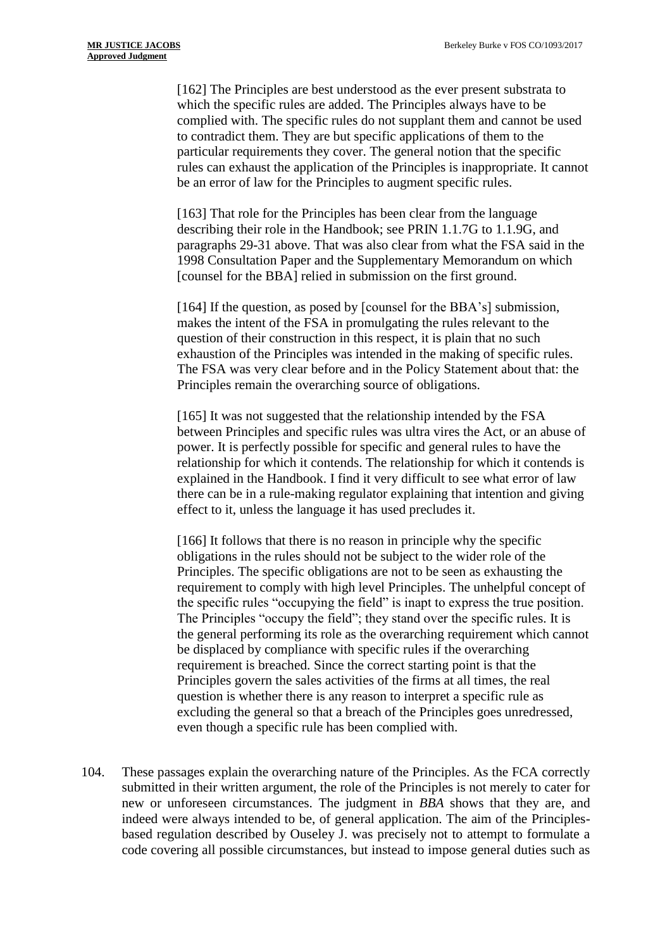[162] The Principles are best understood as the ever present substrata to which the specific rules are added. The Principles always have to be complied with. The specific rules do not supplant them and cannot be used to contradict them. They are but specific applications of them to the particular requirements they cover. The general notion that the specific rules can exhaust the application of the Principles is inappropriate. It cannot be an error of law for the Principles to augment specific rules.

[163] That role for the Principles has been clear from the language describing their role in the Handbook; see PRIN 1.1.7G to 1.1.9G, and paragraphs 29-31 above. That was also clear from what the FSA said in the 1998 Consultation Paper and the Supplementary Memorandum on which [counsel for the BBA] relied in submission on the first ground.

[164] If the question, as posed by [counsel for the BBA's] submission, makes the intent of the FSA in promulgating the rules relevant to the question of their construction in this respect, it is plain that no such exhaustion of the Principles was intended in the making of specific rules. The FSA was very clear before and in the Policy Statement about that: the Principles remain the overarching source of obligations.

[165] It was not suggested that the relationship intended by the FSA between Principles and specific rules was ultra vires the Act, or an abuse of power. It is perfectly possible for specific and general rules to have the relationship for which it contends. The relationship for which it contends is explained in the Handbook. I find it very difficult to see what error of law there can be in a rule-making regulator explaining that intention and giving effect to it, unless the language it has used precludes it.

[166] It follows that there is no reason in principle why the specific obligations in the rules should not be subject to the wider role of the Principles. The specific obligations are not to be seen as exhausting the requirement to comply with high level Principles. The unhelpful concept of the specific rules "occupying the field" is inapt to express the true position. The Principles "occupy the field"; they stand over the specific rules. It is the general performing its role as the overarching requirement which cannot be displaced by compliance with specific rules if the overarching requirement is breached. Since the correct starting point is that the Principles govern the sales activities of the firms at all times, the real question is whether there is any reason to interpret a specific rule as excluding the general so that a breach of the Principles goes unredressed, even though a specific rule has been complied with.

104. These passages explain the overarching nature of the Principles. As the FCA correctly submitted in their written argument, the role of the Principles is not merely to cater for new or unforeseen circumstances. The judgment in *BBA* shows that they are, and indeed were always intended to be, of general application. The aim of the Principlesbased regulation described by Ouseley J. was precisely not to attempt to formulate a code covering all possible circumstances, but instead to impose general duties such as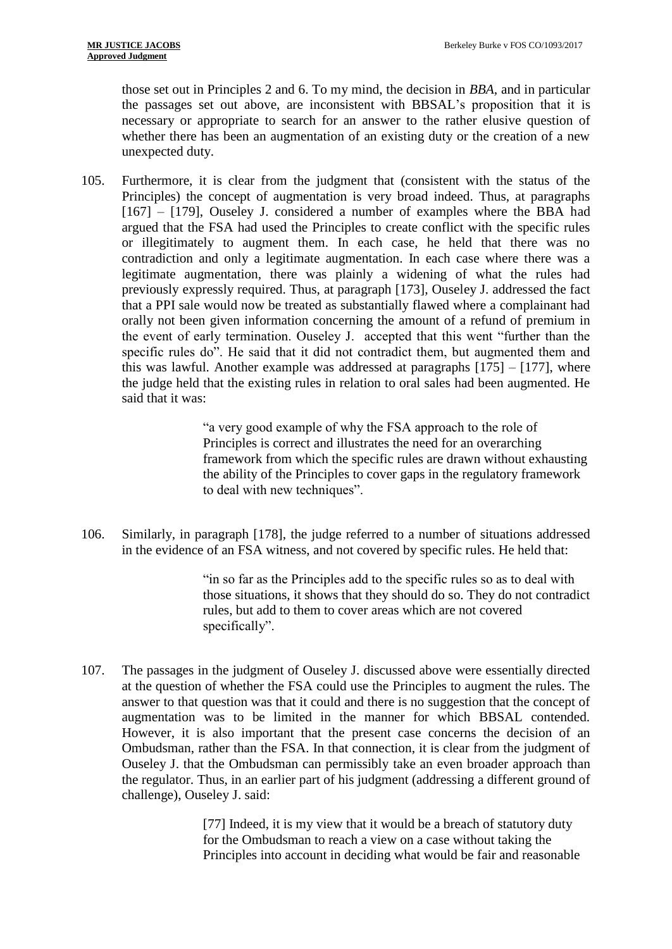those set out in Principles 2 and 6. To my mind, the decision in *BBA,* and in particular the passages set out above, are inconsistent with BBSAL's proposition that it is necessary or appropriate to search for an answer to the rather elusive question of whether there has been an augmentation of an existing duty or the creation of a new unexpected duty.

105. Furthermore, it is clear from the judgment that (consistent with the status of the Principles) the concept of augmentation is very broad indeed. Thus, at paragraphs  $[167]$  –  $[179]$ , Ouseley J. considered a number of examples where the BBA had argued that the FSA had used the Principles to create conflict with the specific rules or illegitimately to augment them. In each case, he held that there was no contradiction and only a legitimate augmentation. In each case where there was a legitimate augmentation, there was plainly a widening of what the rules had previously expressly required. Thus, at paragraph [173], Ouseley J. addressed the fact that a PPI sale would now be treated as substantially flawed where a complainant had orally not been given information concerning the amount of a refund of premium in the event of early termination. Ouseley J. accepted that this went "further than the specific rules do". He said that it did not contradict them, but augmented them and this was lawful. Another example was addressed at paragraphs [175] – [177], where the judge held that the existing rules in relation to oral sales had been augmented. He said that it was:

> "a very good example of why the FSA approach to the role of Principles is correct and illustrates the need for an overarching framework from which the specific rules are drawn without exhausting the ability of the Principles to cover gaps in the regulatory framework to deal with new techniques".

106. Similarly, in paragraph [178], the judge referred to a number of situations addressed in the evidence of an FSA witness, and not covered by specific rules. He held that:

> "in so far as the Principles add to the specific rules so as to deal with those situations, it shows that they should do so. They do not contradict rules, but add to them to cover areas which are not covered specifically".

107. The passages in the judgment of Ouseley J. discussed above were essentially directed at the question of whether the FSA could use the Principles to augment the rules. The answer to that question was that it could and there is no suggestion that the concept of augmentation was to be limited in the manner for which BBSAL contended. However, it is also important that the present case concerns the decision of an Ombudsman, rather than the FSA. In that connection, it is clear from the judgment of Ouseley J. that the Ombudsman can permissibly take an even broader approach than the regulator. Thus, in an earlier part of his judgment (addressing a different ground of challenge), Ouseley J. said:

> [77] Indeed, it is my view that it would be a breach of statutory duty for the Ombudsman to reach a view on a case without taking the Principles into account in deciding what would be fair and reasonable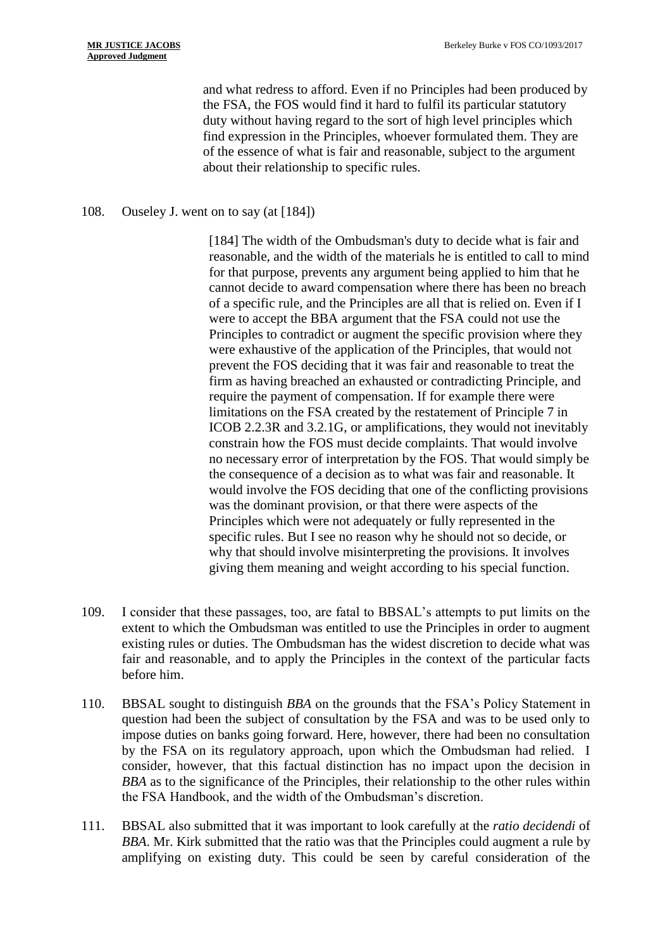and what redress to afford. Even if no Principles had been produced by the FSA, the FOS would find it hard to fulfil its particular statutory duty without having regard to the sort of high level principles which find expression in the Principles, whoever formulated them. They are of the essence of what is fair and reasonable, subject to the argument about their relationship to specific rules.

## 108. Ouseley J. went on to say (at [184])

[184] The width of the Ombudsman's duty to decide what is fair and reasonable, and the width of the materials he is entitled to call to mind for that purpose, prevents any argument being applied to him that he cannot decide to award compensation where there has been no breach of a specific rule, and the Principles are all that is relied on. Even if I were to accept the BBA argument that the FSA could not use the Principles to contradict or augment the specific provision where they were exhaustive of the application of the Principles, that would not prevent the FOS deciding that it was fair and reasonable to treat the firm as having breached an exhausted or contradicting Principle, and require the payment of compensation. If for example there were limitations on the FSA created by the restatement of Principle 7 in ICOB 2.2.3R and 3.2.1G, or amplifications, they would not inevitably constrain how the FOS must decide complaints. That would involve no necessary error of interpretation by the FOS. That would simply be the consequence of a decision as to what was fair and reasonable. It would involve the FOS deciding that one of the conflicting provisions was the dominant provision, or that there were aspects of the Principles which were not adequately or fully represented in the specific rules. But I see no reason why he should not so decide, or why that should involve misinterpreting the provisions. It involves giving them meaning and weight according to his special function.

- 109. I consider that these passages, too, are fatal to BBSAL's attempts to put limits on the extent to which the Ombudsman was entitled to use the Principles in order to augment existing rules or duties. The Ombudsman has the widest discretion to decide what was fair and reasonable, and to apply the Principles in the context of the particular facts before him.
- 110. BBSAL sought to distinguish *BBA* on the grounds that the FSA's Policy Statement in question had been the subject of consultation by the FSA and was to be used only to impose duties on banks going forward. Here, however, there had been no consultation by the FSA on its regulatory approach, upon which the Ombudsman had relied. I consider, however, that this factual distinction has no impact upon the decision in *BBA* as to the significance of the Principles, their relationship to the other rules within the FSA Handbook, and the width of the Ombudsman's discretion.
- 111. BBSAL also submitted that it was important to look carefully at the *ratio decidendi* of *BBA*. Mr. Kirk submitted that the ratio was that the Principles could augment a rule by amplifying on existing duty. This could be seen by careful consideration of the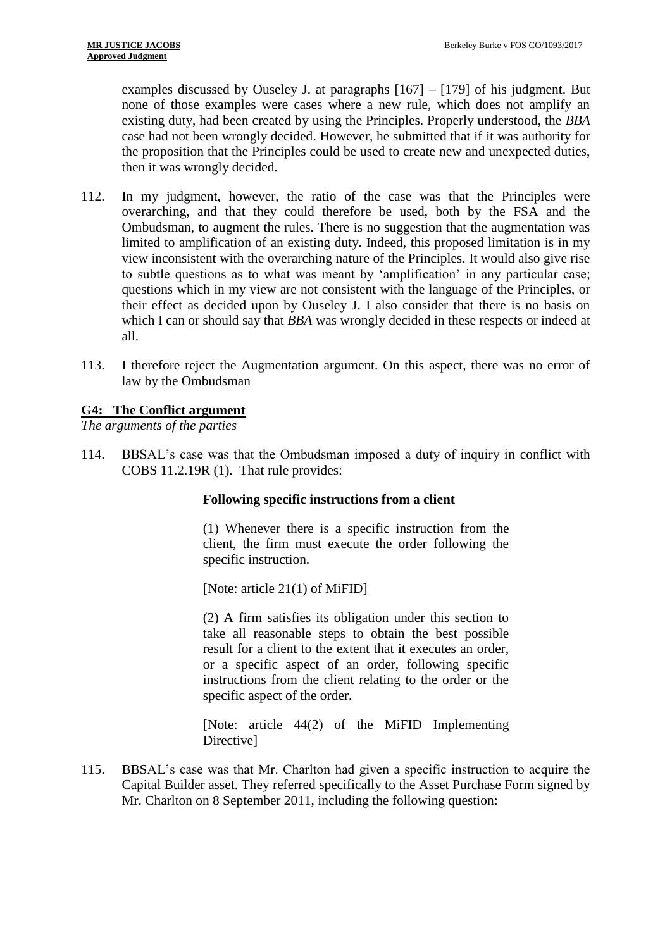examples discussed by Ouseley J. at paragraphs [167] – [179] of his judgment. But none of those examples were cases where a new rule, which does not amplify an existing duty, had been created by using the Principles. Properly understood, the *BBA*  case had not been wrongly decided. However, he submitted that if it was authority for the proposition that the Principles could be used to create new and unexpected duties, then it was wrongly decided.

- 112. In my judgment, however, the ratio of the case was that the Principles were overarching, and that they could therefore be used, both by the FSA and the Ombudsman, to augment the rules. There is no suggestion that the augmentation was limited to amplification of an existing duty. Indeed, this proposed limitation is in my view inconsistent with the overarching nature of the Principles. It would also give rise to subtle questions as to what was meant by 'amplification' in any particular case; questions which in my view are not consistent with the language of the Principles, or their effect as decided upon by Ouseley J. I also consider that there is no basis on which I can or should say that *BBA* was wrongly decided in these respects or indeed at all.
- 113. I therefore reject the Augmentation argument. On this aspect, there was no error of law by the Ombudsman

# **G4: The Conflict argument**

*The arguments of the parties*

114. BBSAL's case was that the Ombudsman imposed a duty of inquiry in conflict with COBS 11.2.19R (1). That rule provides:

# **Following specific instructions from a client**

(1) Whenever there is a specific instruction from the client, the firm must execute the order following the specific instruction.

[Note: article 21(1) of MiFID]

(2) A firm satisfies its obligation under this section to take all reasonable steps to obtain the best possible result for a client to the extent that it executes an order, or a specific aspect of an order, following specific instructions from the client relating to the order or the specific aspect of the order.

[Note: article 44(2) of the MiFID Implementing Directive]

115. BBSAL's case was that Mr. Charlton had given a specific instruction to acquire the Capital Builder asset. They referred specifically to the Asset Purchase Form signed by Mr. Charlton on 8 September 2011, including the following question: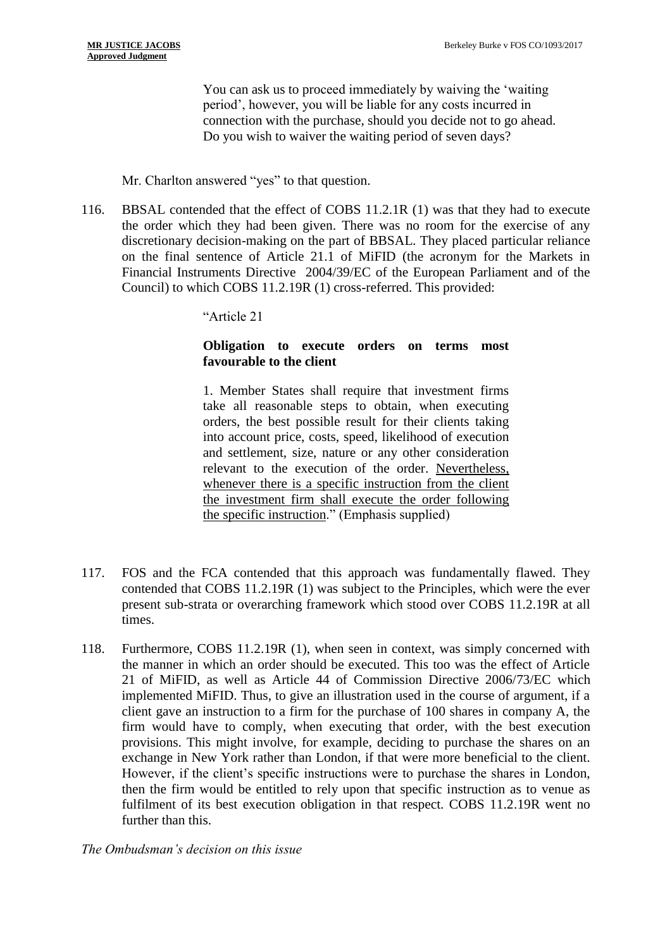You can ask us to proceed immediately by waiving the 'waiting period', however, you will be liable for any costs incurred in connection with the purchase, should you decide not to go ahead. Do you wish to waiver the waiting period of seven days?

## Mr. Charlton answered "yes" to that question.

116. BBSAL contended that the effect of COBS 11.2.1R (1) was that they had to execute the order which they had been given. There was no room for the exercise of any discretionary decision-making on the part of BBSAL. They placed particular reliance on the final sentence of Article 21.1 of MiFID (the acronym for the Markets in Financial Instruments Directive 2004/39/EC of the European Parliament and of the Council) to which COBS 11.2.19R (1) cross-referred. This provided:

"Article 21

# **Obligation to execute orders on terms most favourable to the client**

1. Member States shall require that investment firms take all reasonable steps to obtain, when executing orders, the best possible result for their clients taking into account price, costs, speed, likelihood of execution and settlement, size, nature or any other consideration relevant to the execution of the order. Nevertheless, whenever there is a specific instruction from the client the investment firm shall execute the order following the specific instruction." (Emphasis supplied)

- 117. FOS and the FCA contended that this approach was fundamentally flawed. They contended that COBS 11.2.19R (1) was subject to the Principles, which were the ever present sub-strata or overarching framework which stood over COBS 11.2.19R at all times.
- 118. Furthermore, COBS 11.2.19R (1), when seen in context, was simply concerned with the manner in which an order should be executed. This too was the effect of Article 21 of MiFID, as well as Article 44 of Commission Directive 2006/73/EC which implemented MiFID. Thus, to give an illustration used in the course of argument, if a client gave an instruction to a firm for the purchase of 100 shares in company A, the firm would have to comply, when executing that order, with the best execution provisions. This might involve, for example, deciding to purchase the shares on an exchange in New York rather than London, if that were more beneficial to the client. However, if the client's specific instructions were to purchase the shares in London, then the firm would be entitled to rely upon that specific instruction as to venue as fulfilment of its best execution obligation in that respect. COBS 11.2.19R went no further than this.

*The Ombudsman's decision on this issue*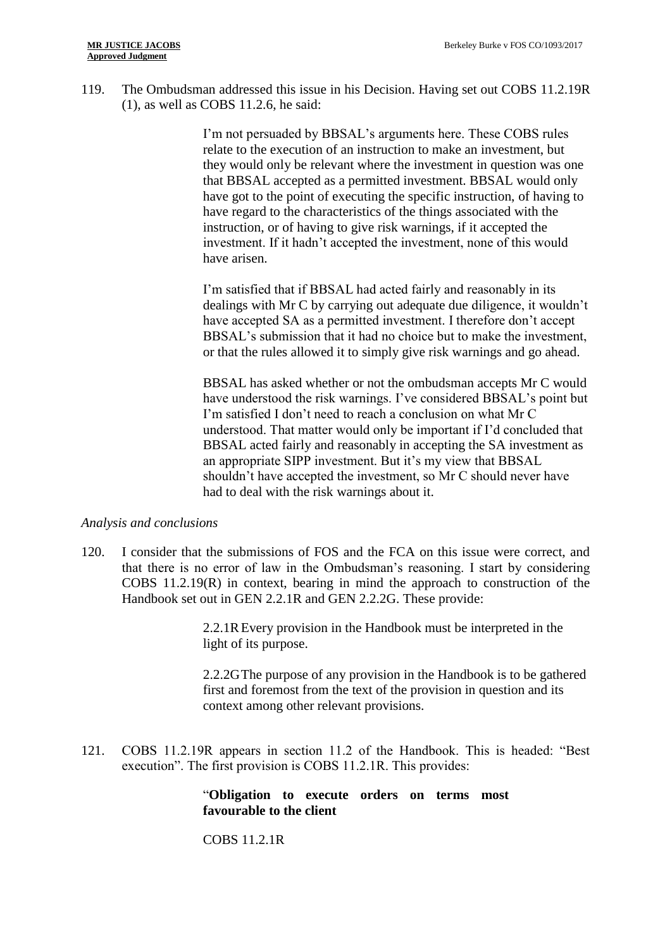119. The Ombudsman addressed this issue in his Decision. Having set out COBS 11.2.19R (1), as well as COBS 11.2.6, he said:

> I'm not persuaded by BBSAL's arguments here. These COBS rules relate to the execution of an instruction to make an investment, but they would only be relevant where the investment in question was one that BBSAL accepted as a permitted investment. BBSAL would only have got to the point of executing the specific instruction, of having to have regard to the characteristics of the things associated with the instruction, or of having to give risk warnings, if it accepted the investment. If it hadn't accepted the investment, none of this would have arisen.

I'm satisfied that if BBSAL had acted fairly and reasonably in its dealings with Mr C by carrying out adequate due diligence, it wouldn't have accepted SA as a permitted investment. I therefore don't accept BBSAL's submission that it had no choice but to make the investment, or that the rules allowed it to simply give risk warnings and go ahead.

BBSAL has asked whether or not the ombudsman accepts Mr C would have understood the risk warnings. I've considered BBSAL's point but I'm satisfied I don't need to reach a conclusion on what Mr C understood. That matter would only be important if I'd concluded that BBSAL acted fairly and reasonably in accepting the SA investment as an appropriate SIPP investment. But it's my view that BBSAL shouldn't have accepted the investment, so Mr C should never have had to deal with the risk warnings about it.

## *Analysis and conclusions*

120. I consider that the submissions of FOS and the FCA on this issue were correct, and that there is no error of law in the Ombudsman's reasoning. I start by considering COBS 11.2.19(R) in context, bearing in mind the approach to construction of the Handbook set out in GEN 2.2.1R and GEN 2.2.2G. These provide:

> 2.2.1REvery provision in the Handbook must be interpreted in the light of its purpose.

2.2.2GThe purpose of any provision in the Handbook is to be gathered first and foremost from the text of the provision in question and its context among other relevant provisions.

121. COBS 11.2.19R appears in section 11.2 of the Handbook. This is headed: "Best execution". The first provision is COBS 11.2.1R. This provides:

> "**Obligation to execute orders on terms most favourable to the client**

COBS 11.2.1R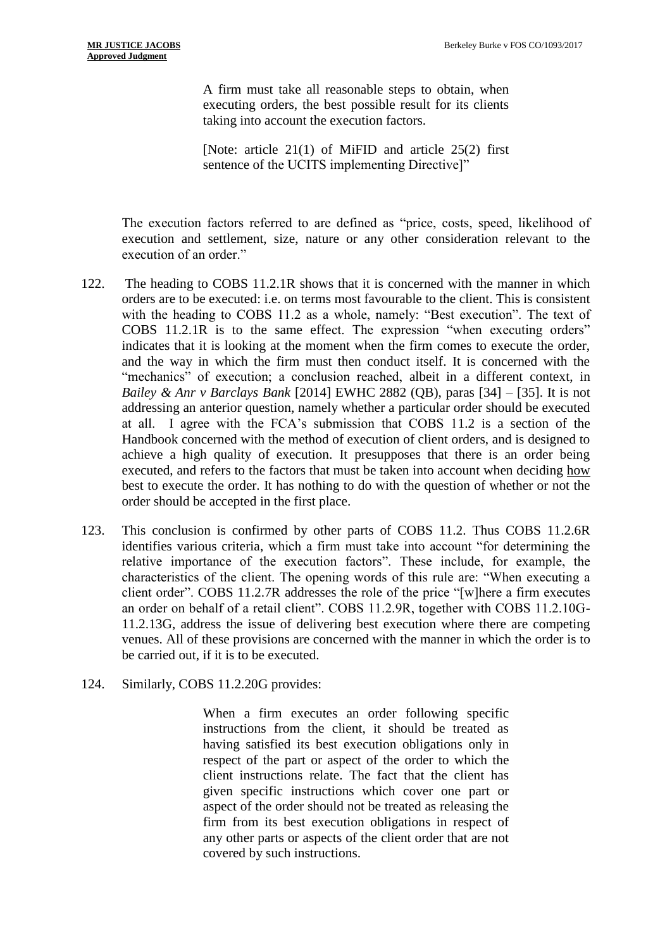A firm must take all reasonable steps to obtain, when executing orders, the best possible result for its clients taking into account the execution factors.

[Note: article 21(1) of MiFID and article 25(2) first sentence of the UCITS implementing Directive]"

The execution factors referred to are defined as "price, costs, speed, likelihood of execution and settlement, size, nature or any other consideration relevant to the execution of an order."

- 122. The heading to COBS 11.2.1R shows that it is concerned with the manner in which orders are to be executed: i.e. on terms most favourable to the client. This is consistent with the heading to COBS 11.2 as a whole, namely: "Best execution". The text of COBS 11.2.1R is to the same effect. The expression "when executing orders" indicates that it is looking at the moment when the firm comes to execute the order, and the way in which the firm must then conduct itself. It is concerned with the "mechanics" of execution; a conclusion reached, albeit in a different context, in *Bailey & Anr v Barclays Bank* [2014] EWHC 2882 (QB), paras [34] – [35]. It is not addressing an anterior question, namely whether a particular order should be executed at all. I agree with the FCA's submission that COBS 11.2 is a section of the Handbook concerned with the method of execution of client orders, and is designed to achieve a high quality of execution. It presupposes that there is an order being executed, and refers to the factors that must be taken into account when deciding how best to execute the order. It has nothing to do with the question of whether or not the order should be accepted in the first place.
- 123. This conclusion is confirmed by other parts of COBS 11.2. Thus COBS 11.2.6R identifies various criteria, which a firm must take into account "for determining the relative importance of the execution factors". These include, for example, the characteristics of the client. The opening words of this rule are: "When executing a client order". COBS 11.2.7R addresses the role of the price "[w]here a firm executes an order on behalf of a retail client". COBS 11.2.9R, together with COBS 11.2.10G-11.2.13G, address the issue of delivering best execution where there are competing venues. All of these provisions are concerned with the manner in which the order is to be carried out, if it is to be executed.
- 124. Similarly, COBS 11.2.20G provides:

When a firm executes an order following specific instructions from the client, it should be treated as having satisfied its best execution obligations only in respect of the part or aspect of the order to which the client instructions relate. The fact that the client has given specific instructions which cover one part or aspect of the order should not be treated as releasing the firm from its best execution obligations in respect of any other parts or aspects of the client order that are not covered by such instructions.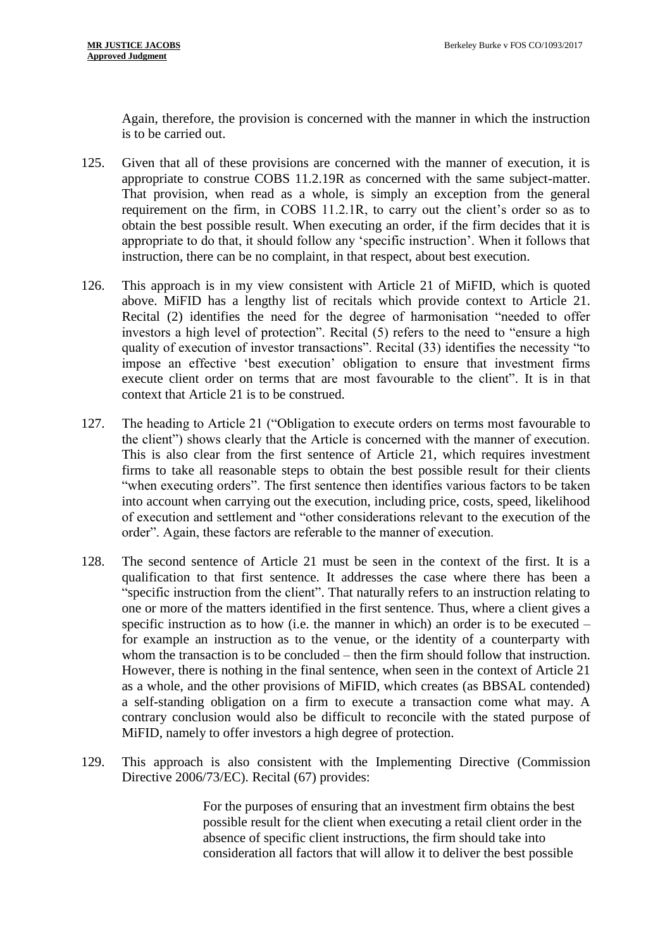Again, therefore, the provision is concerned with the manner in which the instruction is to be carried out.

- 125. Given that all of these provisions are concerned with the manner of execution, it is appropriate to construe COBS 11.2.19R as concerned with the same subject-matter. That provision, when read as a whole, is simply an exception from the general requirement on the firm, in COBS 11.2.1R, to carry out the client's order so as to obtain the best possible result. When executing an order, if the firm decides that it is appropriate to do that, it should follow any 'specific instruction'. When it follows that instruction, there can be no complaint, in that respect, about best execution.
- 126. This approach is in my view consistent with Article 21 of MiFID, which is quoted above. MiFID has a lengthy list of recitals which provide context to Article 21. Recital (2) identifies the need for the degree of harmonisation "needed to offer investors a high level of protection". Recital (5) refers to the need to "ensure a high quality of execution of investor transactions". Recital (33) identifies the necessity "to impose an effective 'best execution' obligation to ensure that investment firms execute client order on terms that are most favourable to the client". It is in that context that Article 21 is to be construed.
- 127. The heading to Article 21 ("Obligation to execute orders on terms most favourable to the client") shows clearly that the Article is concerned with the manner of execution. This is also clear from the first sentence of Article 21, which requires investment firms to take all reasonable steps to obtain the best possible result for their clients "when executing orders". The first sentence then identifies various factors to be taken into account when carrying out the execution, including price, costs, speed, likelihood of execution and settlement and "other considerations relevant to the execution of the order". Again, these factors are referable to the manner of execution.
- 128. The second sentence of Article 21 must be seen in the context of the first. It is a qualification to that first sentence. It addresses the case where there has been a "specific instruction from the client". That naturally refers to an instruction relating to one or more of the matters identified in the first sentence. Thus, where a client gives a specific instruction as to how (i.e. the manner in which) an order is to be executed – for example an instruction as to the venue, or the identity of a counterparty with whom the transaction is to be concluded – then the firm should follow that instruction. However, there is nothing in the final sentence, when seen in the context of Article 21 as a whole, and the other provisions of MiFID, which creates (as BBSAL contended) a self-standing obligation on a firm to execute a transaction come what may. A contrary conclusion would also be difficult to reconcile with the stated purpose of MiFID, namely to offer investors a high degree of protection.
- 129. This approach is also consistent with the Implementing Directive (Commission Directive 2006/73/EC). Recital (67) provides:

For the purposes of ensuring that an investment firm obtains the best possible result for the client when executing a retail client order in the absence of specific client instructions, the firm should take into consideration all factors that will allow it to deliver the best possible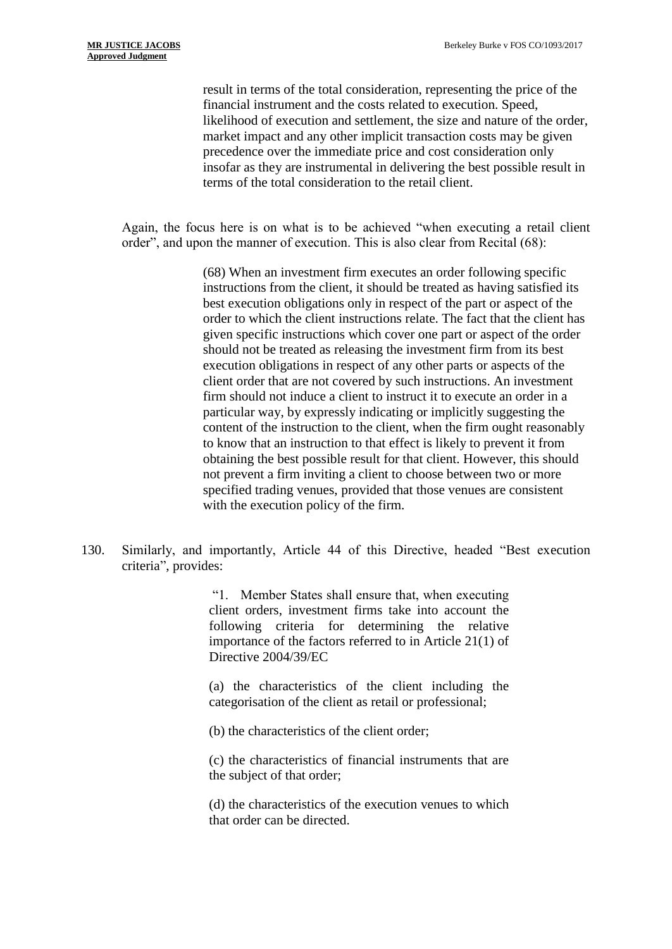result in terms of the total consideration, representing the price of the financial instrument and the costs related to execution. Speed, likelihood of execution and settlement, the size and nature of the order, market impact and any other implicit transaction costs may be given precedence over the immediate price and cost consideration only insofar as they are instrumental in delivering the best possible result in terms of the total consideration to the retail client.

Again, the focus here is on what is to be achieved "when executing a retail client order", and upon the manner of execution. This is also clear from Recital (68):

> (68) When an investment firm executes an order following specific instructions from the client, it should be treated as having satisfied its best execution obligations only in respect of the part or aspect of the order to which the client instructions relate. The fact that the client has given specific instructions which cover one part or aspect of the order should not be treated as releasing the investment firm from its best execution obligations in respect of any other parts or aspects of the client order that are not covered by such instructions. An investment firm should not induce a client to instruct it to execute an order in a particular way, by expressly indicating or implicitly suggesting the content of the instruction to the client, when the firm ought reasonably to know that an instruction to that effect is likely to prevent it from obtaining the best possible result for that client. However, this should not prevent a firm inviting a client to choose between two or more specified trading venues, provided that those venues are consistent with the execution policy of the firm.

130. Similarly, and importantly, Article 44 of this Directive, headed "Best execution criteria", provides:

> "1. Member States shall ensure that, when executing client orders, investment firms take into account the following criteria for determining the relative importance of the factors referred to in Article 21(1) of Directive 2004/39/EC

> (a) the characteristics of the client including the categorisation of the client as retail or professional;

(b) the characteristics of the client order;

(c) the characteristics of financial instruments that are the subject of that order;

(d) the characteristics of the execution venues to which that order can be directed.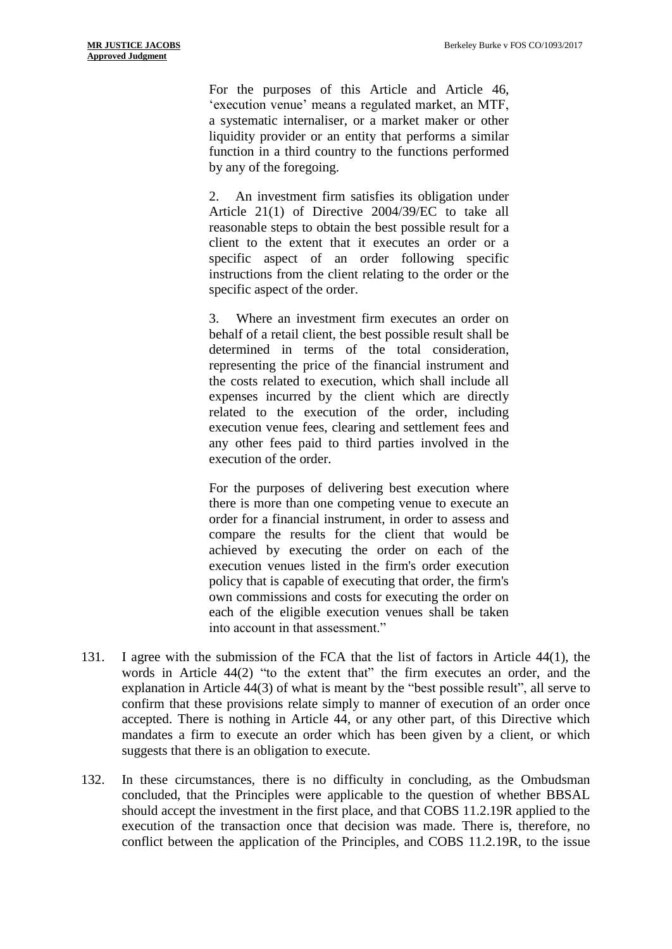For the purposes of this Article and Article 46, 'execution venue' means a regulated market, an MTF, a systematic internaliser, or a market maker or other liquidity provider or an entity that performs a similar function in a third country to the functions performed by any of the foregoing.

2. An investment firm satisfies its obligation under Article 21(1) of Directive 2004/39/EC to take all reasonable steps to obtain the best possible result for a client to the extent that it executes an order or a specific aspect of an order following specific instructions from the client relating to the order or the specific aspect of the order.

3. Where an investment firm executes an order on behalf of a retail client, the best possible result shall be determined in terms of the total consideration, representing the price of the financial instrument and the costs related to execution, which shall include all expenses incurred by the client which are directly related to the execution of the order, including execution venue fees, clearing and settlement fees and any other fees paid to third parties involved in the execution of the order.

For the purposes of delivering best execution where there is more than one competing venue to execute an order for a financial instrument, in order to assess and compare the results for the client that would be achieved by executing the order on each of the execution venues listed in the firm's order execution policy that is capable of executing that order, the firm's own commissions and costs for executing the order on each of the eligible execution venues shall be taken into account in that assessment."

- 131. I agree with the submission of the FCA that the list of factors in Article 44(1), the words in Article 44(2) "to the extent that" the firm executes an order, and the explanation in Article 44(3) of what is meant by the "best possible result", all serve to confirm that these provisions relate simply to manner of execution of an order once accepted. There is nothing in Article 44, or any other part, of this Directive which mandates a firm to execute an order which has been given by a client, or which suggests that there is an obligation to execute.
- 132. In these circumstances, there is no difficulty in concluding, as the Ombudsman concluded, that the Principles were applicable to the question of whether BBSAL should accept the investment in the first place, and that COBS 11.2.19R applied to the execution of the transaction once that decision was made. There is, therefore, no conflict between the application of the Principles, and COBS 11.2.19R, to the issue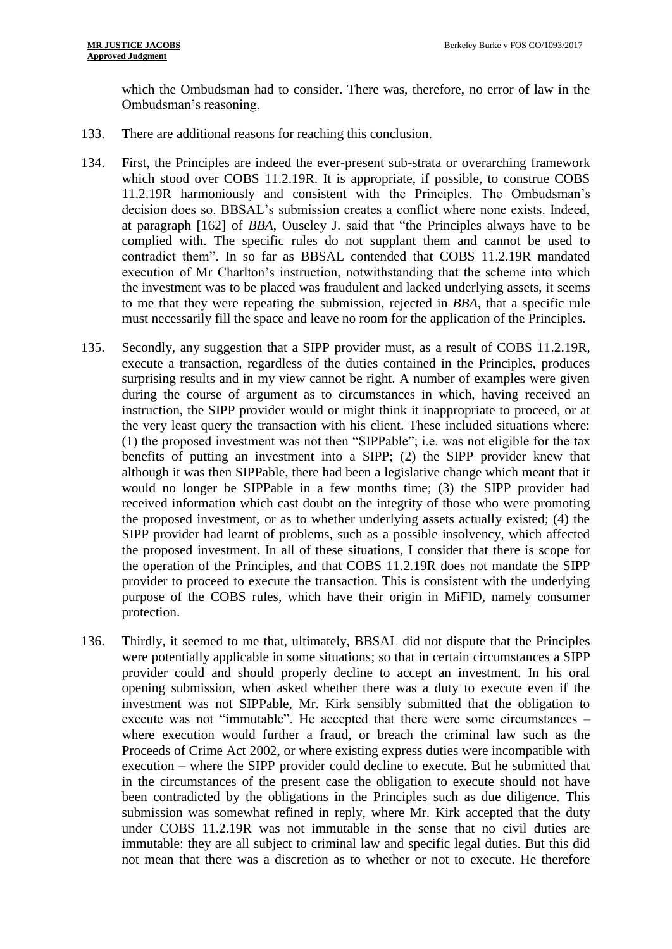which the Ombudsman had to consider. There was, therefore, no error of law in the Ombudsman's reasoning.

- 133. There are additional reasons for reaching this conclusion.
- 134. First, the Principles are indeed the ever-present sub-strata or overarching framework which stood over COBS 11.2.19R. It is appropriate, if possible, to construe COBS 11.2.19R harmoniously and consistent with the Principles. The Ombudsman's decision does so. BBSAL's submission creates a conflict where none exists. Indeed, at paragraph [162] of *BBA*, Ouseley J. said that "the Principles always have to be complied with. The specific rules do not supplant them and cannot be used to contradict them". In so far as BBSAL contended that COBS 11.2.19R mandated execution of Mr Charlton's instruction, notwithstanding that the scheme into which the investment was to be placed was fraudulent and lacked underlying assets, it seems to me that they were repeating the submission, rejected in *BBA*, that a specific rule must necessarily fill the space and leave no room for the application of the Principles.
- 135. Secondly, any suggestion that a SIPP provider must, as a result of COBS 11.2.19R, execute a transaction, regardless of the duties contained in the Principles, produces surprising results and in my view cannot be right. A number of examples were given during the course of argument as to circumstances in which, having received an instruction, the SIPP provider would or might think it inappropriate to proceed, or at the very least query the transaction with his client. These included situations where: (1) the proposed investment was not then "SIPPable"; i.e. was not eligible for the tax benefits of putting an investment into a SIPP; (2) the SIPP provider knew that although it was then SIPPable, there had been a legislative change which meant that it would no longer be SIPPable in a few months time; (3) the SIPP provider had received information which cast doubt on the integrity of those who were promoting the proposed investment, or as to whether underlying assets actually existed; (4) the SIPP provider had learnt of problems, such as a possible insolvency, which affected the proposed investment. In all of these situations, I consider that there is scope for the operation of the Principles, and that COBS 11.2.19R does not mandate the SIPP provider to proceed to execute the transaction. This is consistent with the underlying purpose of the COBS rules, which have their origin in MiFID, namely consumer protection.
- 136. Thirdly, it seemed to me that, ultimately, BBSAL did not dispute that the Principles were potentially applicable in some situations; so that in certain circumstances a SIPP provider could and should properly decline to accept an investment. In his oral opening submission, when asked whether there was a duty to execute even if the investment was not SIPPable, Mr. Kirk sensibly submitted that the obligation to execute was not "immutable". He accepted that there were some circumstances – where execution would further a fraud, or breach the criminal law such as the Proceeds of Crime Act 2002, or where existing express duties were incompatible with execution – where the SIPP provider could decline to execute. But he submitted that in the circumstances of the present case the obligation to execute should not have been contradicted by the obligations in the Principles such as due diligence. This submission was somewhat refined in reply, where Mr. Kirk accepted that the duty under COBS 11.2.19R was not immutable in the sense that no civil duties are immutable: they are all subject to criminal law and specific legal duties. But this did not mean that there was a discretion as to whether or not to execute. He therefore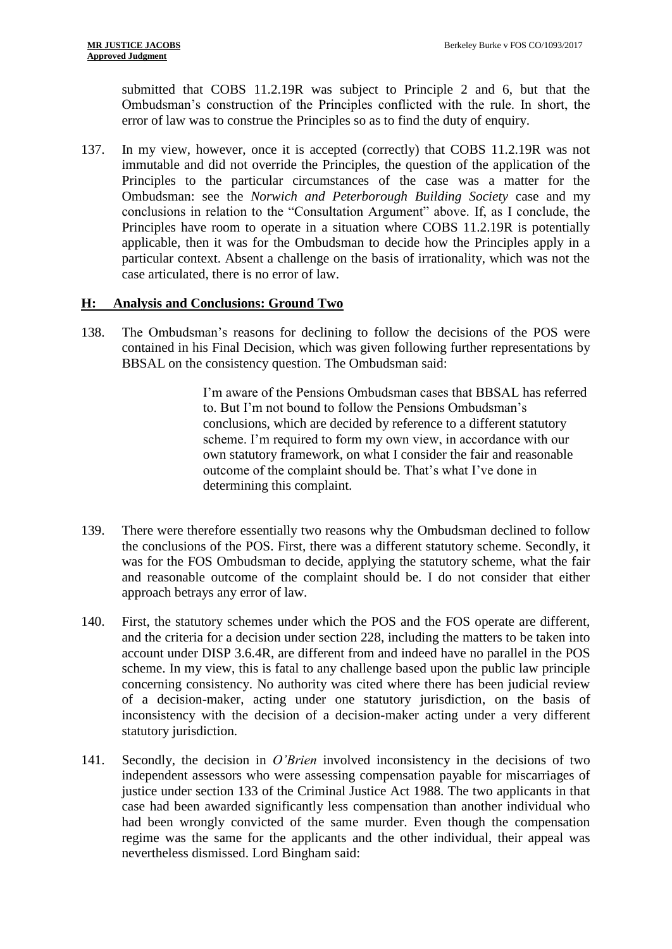submitted that COBS 11.2.19R was subject to Principle 2 and 6, but that the Ombudsman's construction of the Principles conflicted with the rule. In short, the error of law was to construe the Principles so as to find the duty of enquiry.

137. In my view, however, once it is accepted (correctly) that COBS 11.2.19R was not immutable and did not override the Principles, the question of the application of the Principles to the particular circumstances of the case was a matter for the Ombudsman: see the *Norwich and Peterborough Building Society* case and my conclusions in relation to the "Consultation Argument" above. If, as I conclude, the Principles have room to operate in a situation where COBS 11.2.19R is potentially applicable, then it was for the Ombudsman to decide how the Principles apply in a particular context. Absent a challenge on the basis of irrationality, which was not the case articulated, there is no error of law.

## **H: Analysis and Conclusions: Ground Two**

138. The Ombudsman's reasons for declining to follow the decisions of the POS were contained in his Final Decision, which was given following further representations by BBSAL on the consistency question. The Ombudsman said:

> I'm aware of the Pensions Ombudsman cases that BBSAL has referred to. But I'm not bound to follow the Pensions Ombudsman's conclusions, which are decided by reference to a different statutory scheme. I'm required to form my own view, in accordance with our own statutory framework, on what I consider the fair and reasonable outcome of the complaint should be. That's what I've done in determining this complaint.

- 139. There were therefore essentially two reasons why the Ombudsman declined to follow the conclusions of the POS. First, there was a different statutory scheme. Secondly, it was for the FOS Ombudsman to decide, applying the statutory scheme, what the fair and reasonable outcome of the complaint should be. I do not consider that either approach betrays any error of law.
- 140. First, the statutory schemes under which the POS and the FOS operate are different, and the criteria for a decision under section 228, including the matters to be taken into account under DISP 3.6.4R, are different from and indeed have no parallel in the POS scheme. In my view, this is fatal to any challenge based upon the public law principle concerning consistency. No authority was cited where there has been judicial review of a decision-maker, acting under one statutory jurisdiction, on the basis of inconsistency with the decision of a decision-maker acting under a very different statutory jurisdiction.
- 141. Secondly, the decision in *O'Brien* involved inconsistency in the decisions of two independent assessors who were assessing compensation payable for miscarriages of justice under section 133 of the Criminal Justice Act 1988. The two applicants in that case had been awarded significantly less compensation than another individual who had been wrongly convicted of the same murder. Even though the compensation regime was the same for the applicants and the other individual, their appeal was nevertheless dismissed. Lord Bingham said: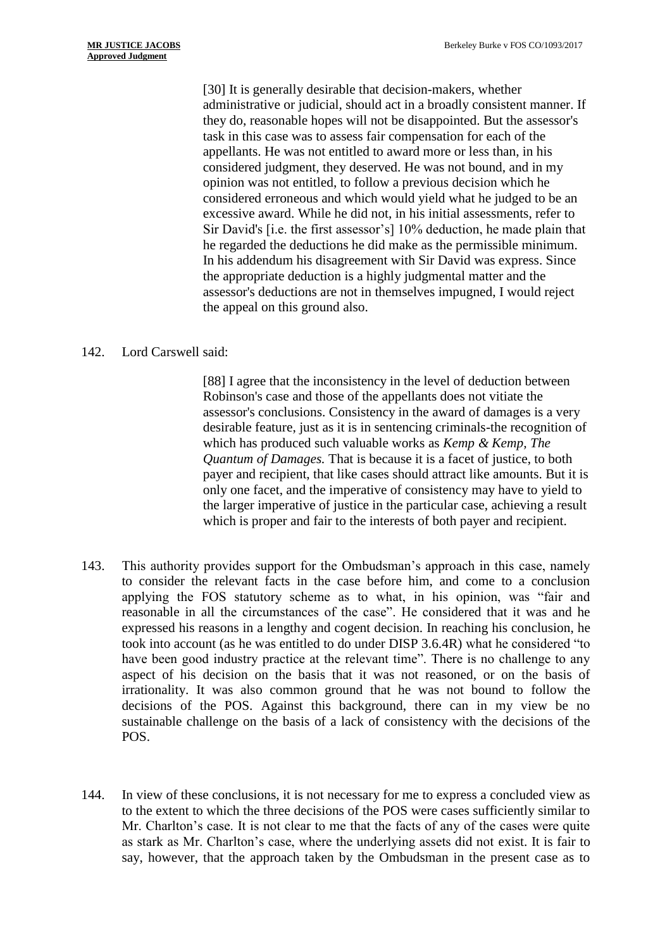[30] It is generally desirable that decision-makers, whether administrative or judicial, should act in a broadly consistent manner. If they do, reasonable hopes will not be disappointed. But the assessor's task in this case was to assess fair compensation for each of the appellants. He was not entitled to award more or less than, in his considered judgment, they deserved. He was not bound, and in my opinion was not entitled, to follow a previous decision which he considered erroneous and which would yield what he judged to be an excessive award. While he did not, in his initial assessments, refer to Sir David's [i.e. the first assessor's] 10% deduction, he made plain that he regarded the deductions he did make as the permissible minimum. In his addendum his disagreement with Sir David was express. Since the appropriate deduction is a highly judgmental matter and the assessor's deductions are not in themselves impugned, I would reject the appeal on this ground also.

#### 142. Lord Carswell said:

[88] I agree that the inconsistency in the level of deduction between Robinson's case and those of the appellants does not vitiate the assessor's conclusions. Consistency in the award of damages is a very desirable feature, just as it is in sentencing criminals-the recognition of which has produced such valuable works as *Kemp & Kemp, The Quantum of Damages.* That is because it is a facet of justice, to both payer and recipient, that like cases should attract like amounts. But it is only one facet, and the imperative of consistency may have to yield to the larger imperative of justice in the particular case, achieving a result which is proper and fair to the interests of both payer and recipient.

- 143. This authority provides support for the Ombudsman's approach in this case, namely to consider the relevant facts in the case before him, and come to a conclusion applying the FOS statutory scheme as to what, in his opinion, was "fair and reasonable in all the circumstances of the case". He considered that it was and he expressed his reasons in a lengthy and cogent decision. In reaching his conclusion, he took into account (as he was entitled to do under DISP 3.6.4R) what he considered "to have been good industry practice at the relevant time". There is no challenge to any aspect of his decision on the basis that it was not reasoned, or on the basis of irrationality. It was also common ground that he was not bound to follow the decisions of the POS. Against this background, there can in my view be no sustainable challenge on the basis of a lack of consistency with the decisions of the POS.
- 144. In view of these conclusions, it is not necessary for me to express a concluded view as to the extent to which the three decisions of the POS were cases sufficiently similar to Mr. Charlton's case. It is not clear to me that the facts of any of the cases were quite as stark as Mr. Charlton's case, where the underlying assets did not exist. It is fair to say, however, that the approach taken by the Ombudsman in the present case as to